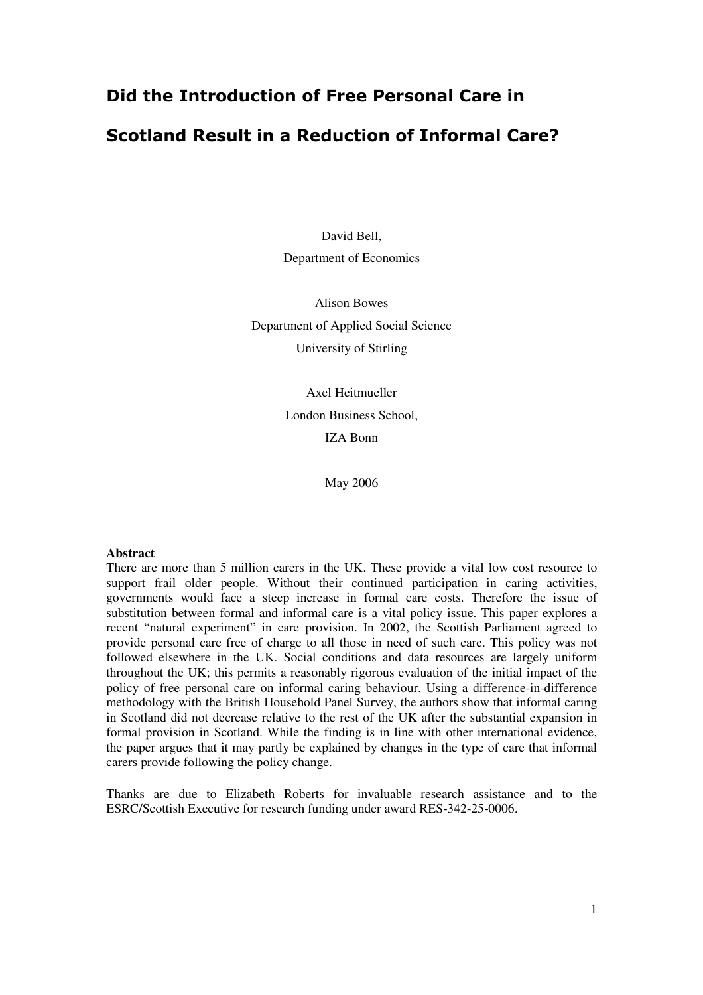# Did the Introduction of Free Personal Care in Scotland Result in a Reduction of Informal Care?

David Bell, Department of Economics

Alison Bowes Department of Applied Social Science University of Stirling

> Axel Heitmueller London Business School, IZA Bonn

> > May 2006

#### **Abstract**

There are more than 5 million carers in the UK. These provide a vital low cost resource to support frail older people. Without their continued participation in caring activities, governments would face a steep increase in formal care costs. Therefore the issue of substitution between formal and informal care is a vital policy issue. This paper explores a recent "natural experiment" in care provision. In 2002, the Scottish Parliament agreed to provide personal care free of charge to all those in need of such care. This policy was not followed elsewhere in the UK. Social conditions and data resources are largely uniform throughout the UK; this permits a reasonably rigorous evaluation of the initial impact of the policy of free personal care on informal caring behaviour. Using a difference-in-difference methodology with the British Household Panel Survey, the authors show that informal caring in Scotland did not decrease relative to the rest of the UK after the substantial expansion in formal provision in Scotland. While the finding is in line with other international evidence, the paper argues that it may partly be explained by changes in the type of care that informal carers provide following the policy change.

Thanks are due to Elizabeth Roberts for invaluable research assistance and to the ESRC/Scottish Executive for research funding under award RES-342-25-0006.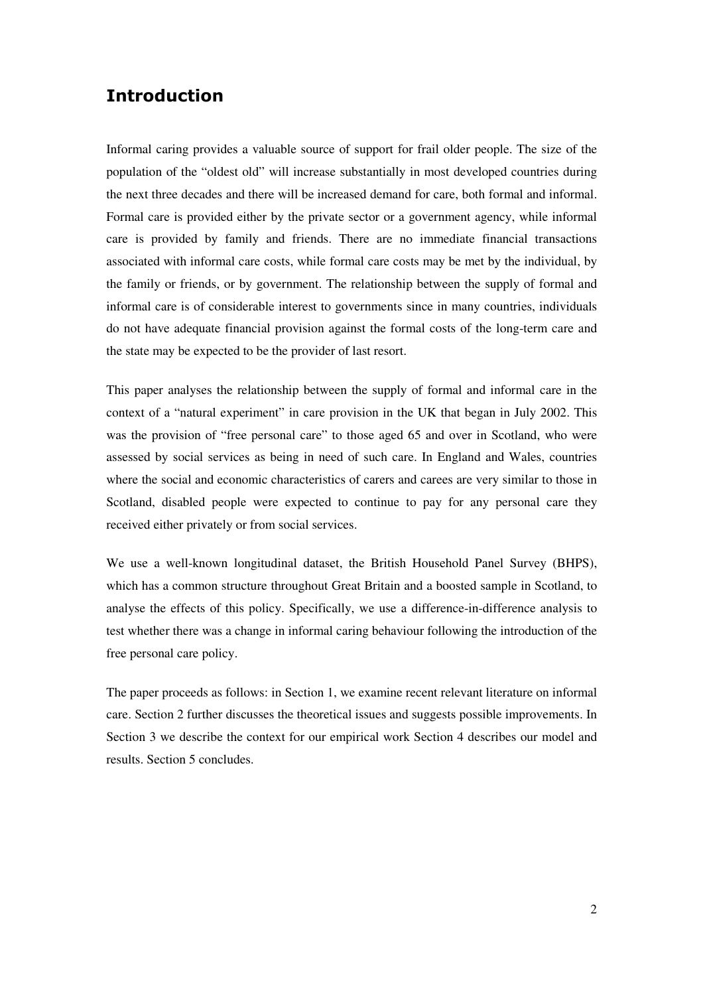# Introduction

Informal caring provides a valuable source of support for frail older people. The size of the population of the "oldest old" will increase substantially in most developed countries during the next three decades and there will be increased demand for care, both formal and informal. Formal care is provided either by the private sector or a government agency, while informal care is provided by family and friends. There are no immediate financial transactions associated with informal care costs, while formal care costs may be met by the individual, by the family or friends, or by government. The relationship between the supply of formal and informal care is of considerable interest to governments since in many countries, individuals do not have adequate financial provision against the formal costs of the long-term care and the state may be expected to be the provider of last resort.

This paper analyses the relationship between the supply of formal and informal care in the context of a "natural experiment" in care provision in the UK that began in July 2002. This was the provision of "free personal care" to those aged 65 and over in Scotland, who were assessed by social services as being in need of such care. In England and Wales, countries where the social and economic characteristics of carers and carees are very similar to those in Scotland, disabled people were expected to continue to pay for any personal care they received either privately or from social services.

We use a well-known longitudinal dataset, the British Household Panel Survey (BHPS), which has a common structure throughout Great Britain and a boosted sample in Scotland, to analyse the effects of this policy. Specifically, we use a difference-in-difference analysis to test whether there was a change in informal caring behaviour following the introduction of the free personal care policy.

The paper proceeds as follows: in Section 1, we examine recent relevant literature on informal care. Section 2 further discusses the theoretical issues and suggests possible improvements. In Section 3 we describe the context for our empirical work Section 4 describes our model and results. Section 5 concludes.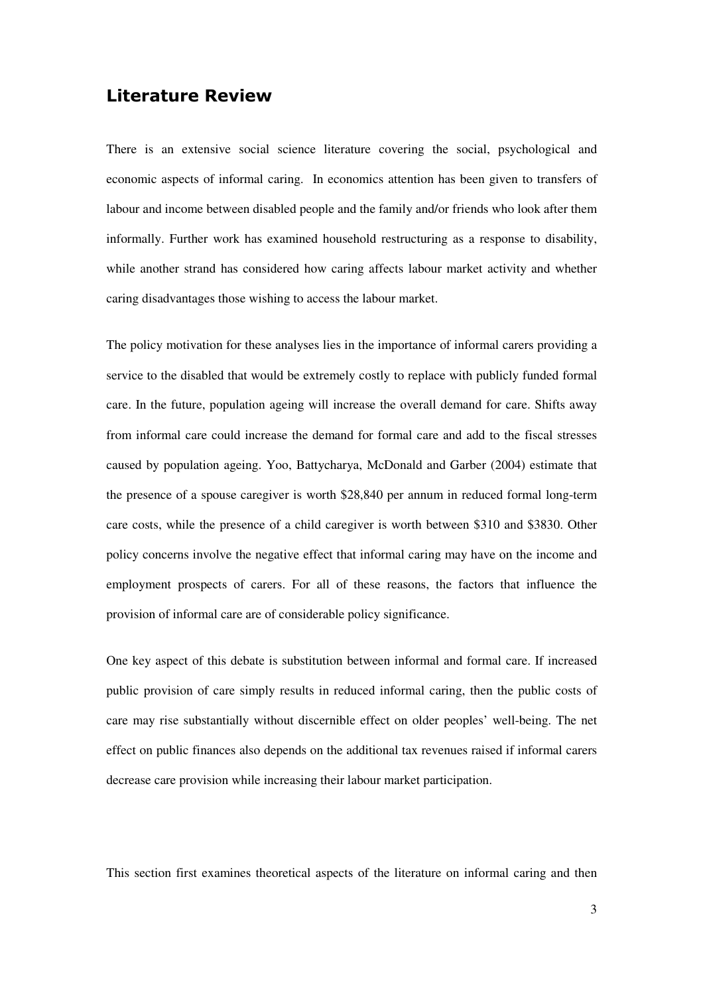# Literature Review

There is an extensive social science literature covering the social, psychological and economic aspects of informal caring. In economics attention has been given to transfers of labour and income between disabled people and the family and/or friends who look after them informally. Further work has examined household restructuring as a response to disability, while another strand has considered how caring affects labour market activity and whether caring disadvantages those wishing to access the labour market.

The policy motivation for these analyses lies in the importance of informal carers providing a service to the disabled that would be extremely costly to replace with publicly funded formal care. In the future, population ageing will increase the overall demand for care. Shifts away from informal care could increase the demand for formal care and add to the fiscal stresses caused by population ageing. Yoo, Battycharya, McDonald and Garber (2004) estimate that the presence of a spouse caregiver is worth \$28,840 per annum in reduced formal long-term care costs, while the presence of a child caregiver is worth between \$310 and \$3830. Other policy concerns involve the negative effect that informal caring may have on the income and employment prospects of carers. For all of these reasons, the factors that influence the provision of informal care are of considerable policy significance.

One key aspect of this debate is substitution between informal and formal care. If increased public provision of care simply results in reduced informal caring, then the public costs of care may rise substantially without discernible effect on older peoples' well-being. The net effect on public finances also depends on the additional tax revenues raised if informal carers decrease care provision while increasing their labour market participation.

This section first examines theoretical aspects of the literature on informal caring and then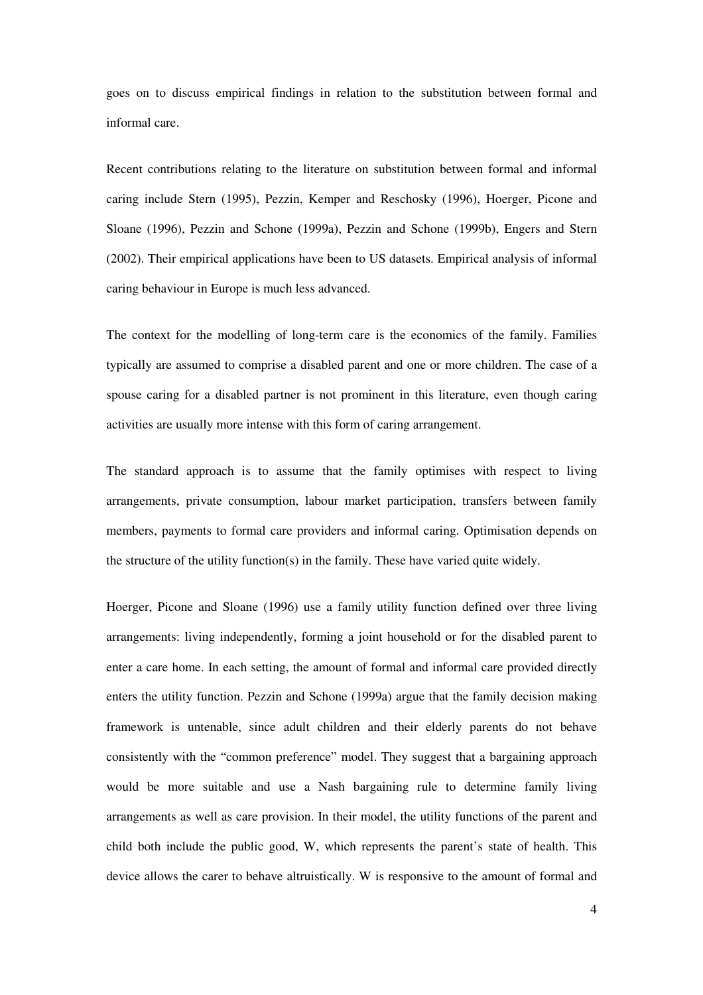goes on to discuss empirical findings in relation to the substitution between formal and informal care.

Recent contributions relating to the literature on substitution between formal and informal caring include Stern (1995), Pezzin, Kemper and Reschosky (1996), Hoerger, Picone and Sloane (1996), Pezzin and Schone (1999a), Pezzin and Schone (1999b), Engers and Stern (2002). Their empirical applications have been to US datasets. Empirical analysis of informal caring behaviour in Europe is much less advanced.

The context for the modelling of long-term care is the economics of the family. Families typically are assumed to comprise a disabled parent and one or more children. The case of a spouse caring for a disabled partner is not prominent in this literature, even though caring activities are usually more intense with this form of caring arrangement.

The standard approach is to assume that the family optimises with respect to living arrangements, private consumption, labour market participation, transfers between family members, payments to formal care providers and informal caring. Optimisation depends on the structure of the utility function(s) in the family. These have varied quite widely.

Hoerger, Picone and Sloane (1996) use a family utility function defined over three living arrangements: living independently, forming a joint household or for the disabled parent to enter a care home. In each setting, the amount of formal and informal care provided directly enters the utility function. Pezzin and Schone (1999a) argue that the family decision making framework is untenable, since adult children and their elderly parents do not behave consistently with the "common preference" model. They suggest that a bargaining approach would be more suitable and use a Nash bargaining rule to determine family living arrangements as well as care provision. In their model, the utility functions of the parent and child both include the public good, W, which represents the parent's state of health. This device allows the carer to behave altruistically. W is responsive to the amount of formal and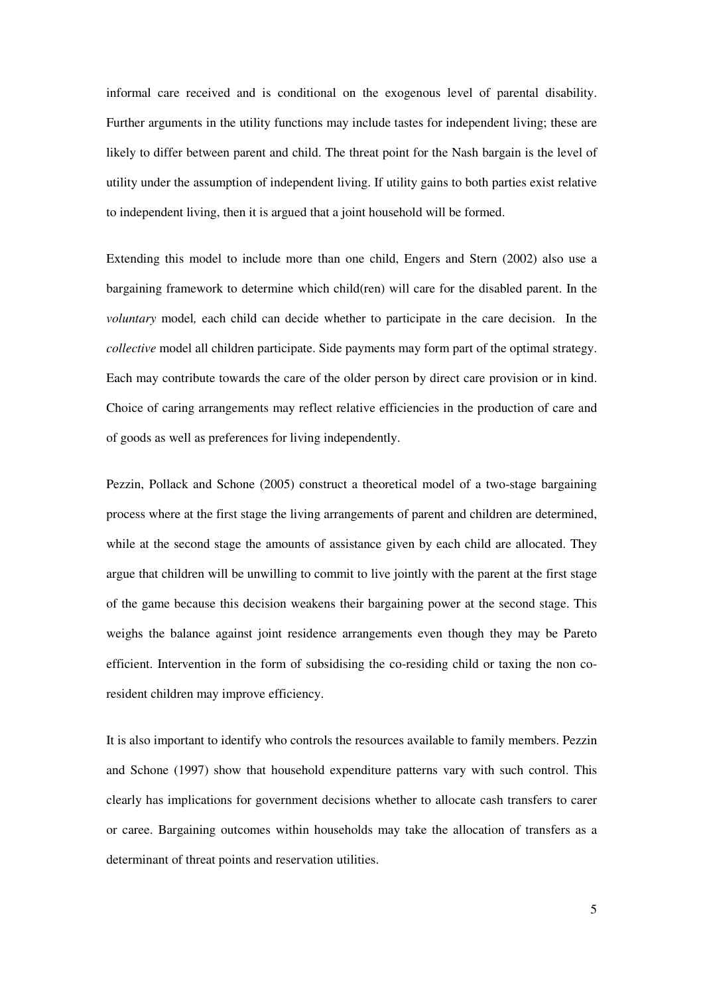informal care received and is conditional on the exogenous level of parental disability. Further arguments in the utility functions may include tastes for independent living; these are likely to differ between parent and child. The threat point for the Nash bargain is the level of utility under the assumption of independent living. If utility gains to both parties exist relative to independent living, then it is argued that a joint household will be formed.

Extending this model to include more than one child, Engers and Stern (2002) also use a bargaining framework to determine which child(ren) will care for the disabled parent. In the *voluntary* model*,* each child can decide whether to participate in the care decision. In the *collective* model all children participate. Side payments may form part of the optimal strategy. Each may contribute towards the care of the older person by direct care provision or in kind. Choice of caring arrangements may reflect relative efficiencies in the production of care and of goods as well as preferences for living independently.

Pezzin, Pollack and Schone (2005) construct a theoretical model of a two-stage bargaining process where at the first stage the living arrangements of parent and children are determined, while at the second stage the amounts of assistance given by each child are allocated. They argue that children will be unwilling to commit to live jointly with the parent at the first stage of the game because this decision weakens their bargaining power at the second stage. This weighs the balance against joint residence arrangements even though they may be Pareto efficient. Intervention in the form of subsidising the co-residing child or taxing the non coresident children may improve efficiency.

It is also important to identify who controls the resources available to family members. Pezzin and Schone (1997) show that household expenditure patterns vary with such control. This clearly has implications for government decisions whether to allocate cash transfers to carer or caree. Bargaining outcomes within households may take the allocation of transfers as a determinant of threat points and reservation utilities.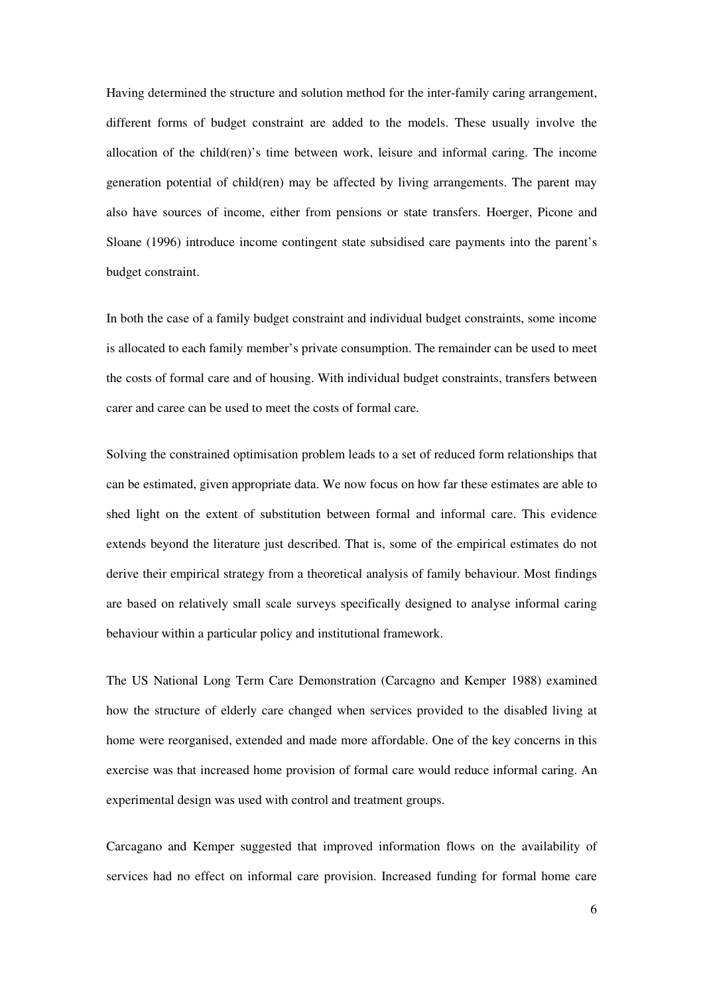Having determined the structure and solution method for the inter-family caring arrangement, different forms of budget constraint are added to the models. These usually involve the allocation of the child(ren)'s time between work, leisure and informal caring. The income generation potential of child(ren) may be affected by living arrangements. The parent may also have sources of income, either from pensions or state transfers. Hoerger, Picone and Sloane (1996) introduce income contingent state subsidised care payments into the parent's budget constraint.

In both the case of a family budget constraint and individual budget constraints, some income is allocated to each family member's private consumption. The remainder can be used to meet the costs of formal care and of housing. With individual budget constraints, transfers between carer and caree can be used to meet the costs of formal care.

Solving the constrained optimisation problem leads to a set of reduced form relationships that can be estimated, given appropriate data. We now focus on how far these estimates are able to shed light on the extent of substitution between formal and informal care. This evidence extends beyond the literature just described. That is, some of the empirical estimates do not derive their empirical strategy from a theoretical analysis of family behaviour. Most findings are based on relatively small scale surveys specifically designed to analyse informal caring behaviour within a particular policy and institutional framework.

The US National Long Term Care Demonstration (Carcagno and Kemper 1988) examined how the structure of elderly care changed when services provided to the disabled living at home were reorganised, extended and made more affordable. One of the key concerns in this exercise was that increased home provision of formal care would reduce informal caring. An experimental design was used with control and treatment groups.

Carcagano and Kemper suggested that improved information flows on the availability of services had no effect on informal care provision. Increased funding for formal home care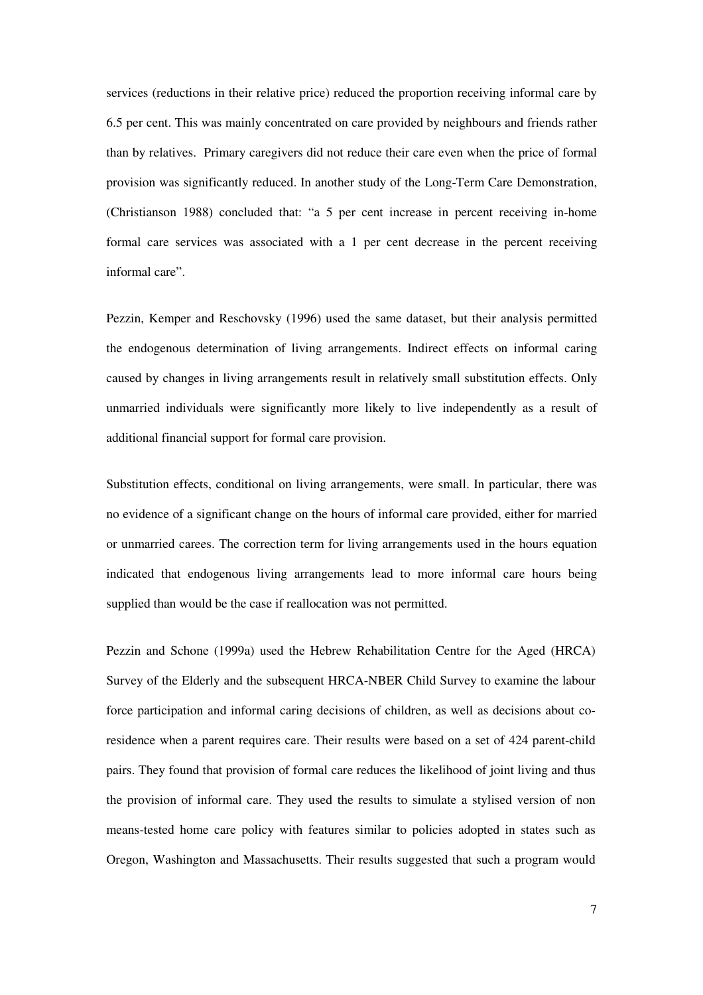services (reductions in their relative price) reduced the proportion receiving informal care by 6.5 per cent. This was mainly concentrated on care provided by neighbours and friends rather than by relatives. Primary caregivers did not reduce their care even when the price of formal provision was significantly reduced. In another study of the Long-Term Care Demonstration, (Christianson 1988) concluded that: "a 5 per cent increase in percent receiving in-home formal care services was associated with a 1 per cent decrease in the percent receiving informal care".

Pezzin, Kemper and Reschovsky (1996) used the same dataset, but their analysis permitted the endogenous determination of living arrangements. Indirect effects on informal caring caused by changes in living arrangements result in relatively small substitution effects. Only unmarried individuals were significantly more likely to live independently as a result of additional financial support for formal care provision.

Substitution effects, conditional on living arrangements, were small. In particular, there was no evidence of a significant change on the hours of informal care provided, either for married or unmarried carees. The correction term for living arrangements used in the hours equation indicated that endogenous living arrangements lead to more informal care hours being supplied than would be the case if reallocation was not permitted.

Pezzin and Schone (1999a) used the Hebrew Rehabilitation Centre for the Aged (HRCA) Survey of the Elderly and the subsequent HRCA-NBER Child Survey to examine the labour force participation and informal caring decisions of children, as well as decisions about coresidence when a parent requires care. Their results were based on a set of 424 parent-child pairs. They found that provision of formal care reduces the likelihood of joint living and thus the provision of informal care. They used the results to simulate a stylised version of non means-tested home care policy with features similar to policies adopted in states such as Oregon, Washington and Massachusetts. Their results suggested that such a program would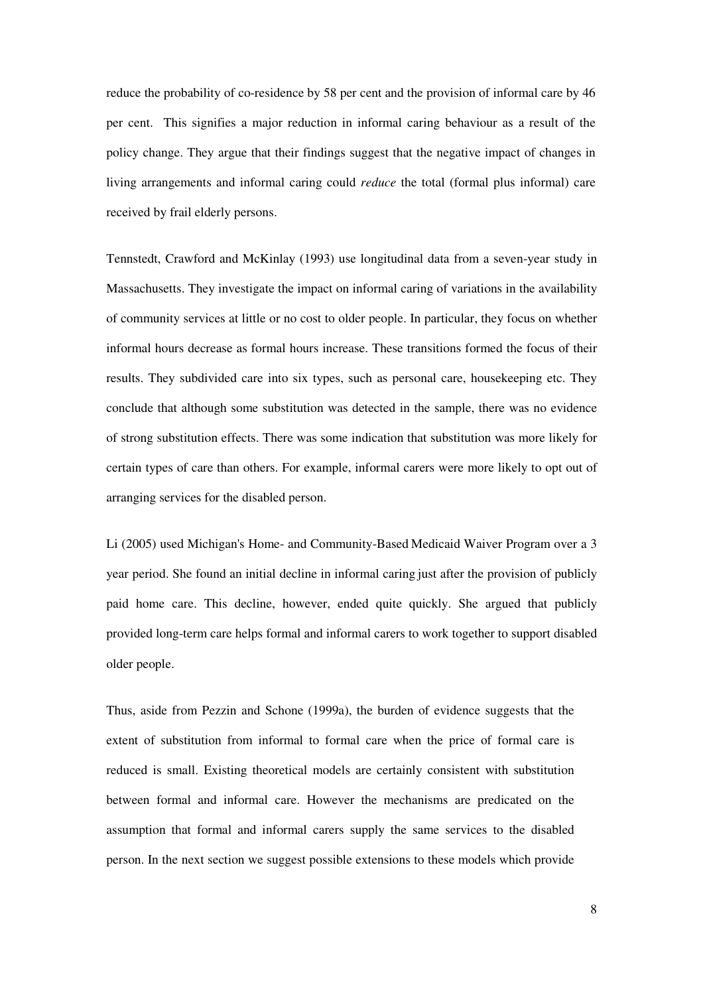reduce the probability of co-residence by 58 per cent and the provision of informal care by 46 per cent. This signifies a major reduction in informal caring behaviour as a result of the policy change. They argue that their findings suggest that the negative impact of changes in living arrangements and informal caring could *reduce* the total (formal plus informal) care received by frail elderly persons.

Tennstedt, Crawford and McKinlay (1993) use longitudinal data from a seven-year study in Massachusetts. They investigate the impact on informal caring of variations in the availability of community services at little or no cost to older people. In particular, they focus on whether informal hours decrease as formal hours increase. These transitions formed the focus of their results. They subdivided care into six types, such as personal care, housekeeping etc. They conclude that although some substitution was detected in the sample, there was no evidence of strong substitution effects. There was some indication that substitution was more likely for certain types of care than others. For example, informal carers were more likely to opt out of arranging services for the disabled person.

Li (2005) used Michigan's Home- and Community-Based Medicaid Waiver Program over a 3 year period. She found an initial decline in informal caring just after the provision of publicly paid home care. This decline, however, ended quite quickly. She argued that publicly provided long-term care helps formal and informal carers to work together to support disabled older people.

Thus, aside from Pezzin and Schone (1999a), the burden of evidence suggests that the extent of substitution from informal to formal care when the price of formal care is reduced is small. Existing theoretical models are certainly consistent with substitution between formal and informal care. However the mechanisms are predicated on the assumption that formal and informal carers supply the same services to the disabled person. In the next section we suggest possible extensions to these models which provide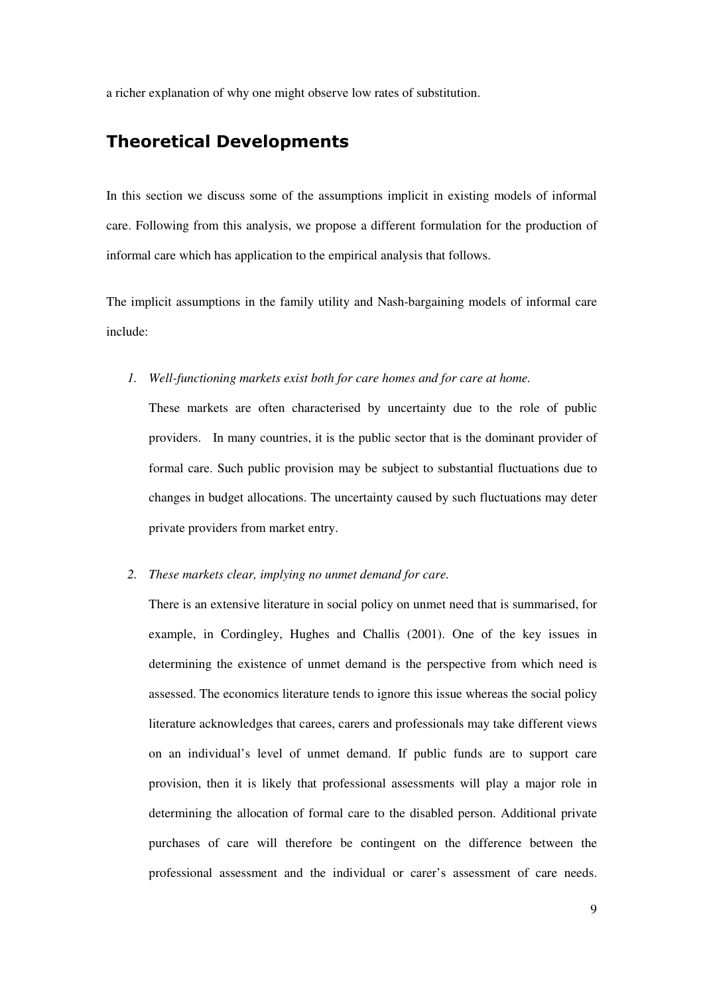a richer explanation of why one might observe low rates of substitution.

# Theoretical Developments

In this section we discuss some of the assumptions implicit in existing models of informal care. Following from this analysis, we propose a different formulation for the production of informal care which has application to the empirical analysis that follows.

The implicit assumptions in the family utility and Nash-bargaining models of informal care include:

*1. Well-functioning markets exist both for care homes and for care at home.* 

These markets are often characterised by uncertainty due to the role of public providers. In many countries, it is the public sector that is the dominant provider of formal care. Such public provision may be subject to substantial fluctuations due to changes in budget allocations. The uncertainty caused by such fluctuations may deter private providers from market entry.

*2. These markets clear, implying no unmet demand for care.* 

There is an extensive literature in social policy on unmet need that is summarised, for example, in Cordingley, Hughes and Challis (2001). One of the key issues in determining the existence of unmet demand is the perspective from which need is assessed. The economics literature tends to ignore this issue whereas the social policy literature acknowledges that carees, carers and professionals may take different views on an individual's level of unmet demand. If public funds are to support care provision, then it is likely that professional assessments will play a major role in determining the allocation of formal care to the disabled person. Additional private purchases of care will therefore be contingent on the difference between the professional assessment and the individual or carer's assessment of care needs.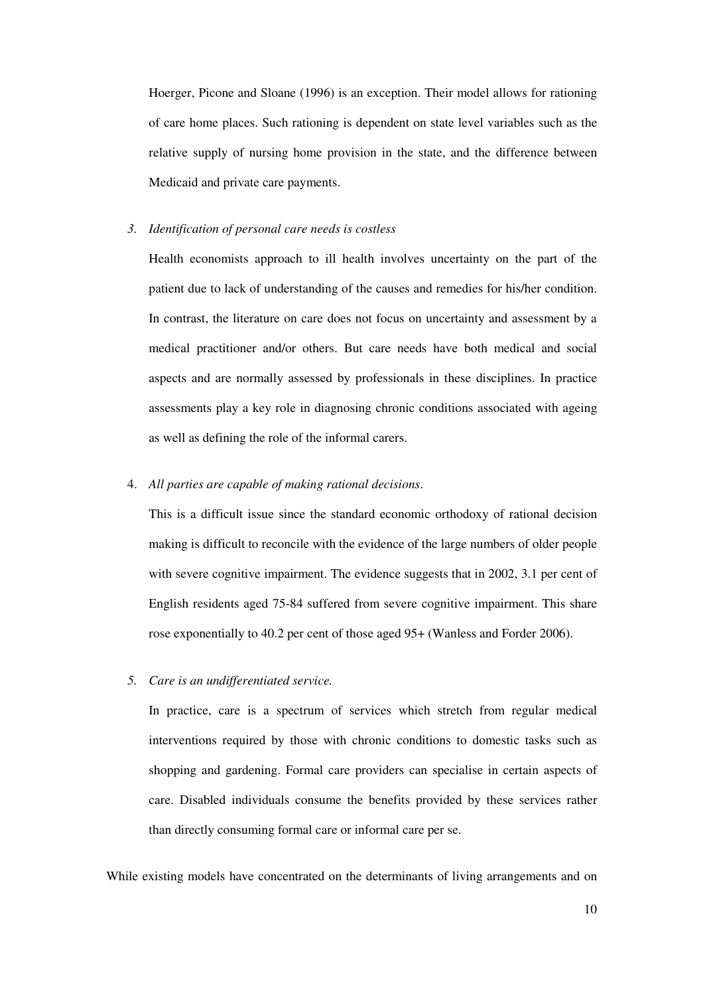Hoerger, Picone and Sloane (1996) is an exception. Their model allows for rationing of care home places. Such rationing is dependent on state level variables such as the relative supply of nursing home provision in the state, and the difference between Medicaid and private care payments.

#### *3. Identification of personal care needs is costless*

Health economists approach to ill health involves uncertainty on the part of the patient due to lack of understanding of the causes and remedies for his/her condition. In contrast, the literature on care does not focus on uncertainty and assessment by a medical practitioner and/or others. But care needs have both medical and social aspects and are normally assessed by professionals in these disciplines. In practice assessments play a key role in diagnosing chronic conditions associated with ageing as well as defining the role of the informal carers.

### 4. *All parties are capable of making rational decisions*.

This is a difficult issue since the standard economic orthodoxy of rational decision making is difficult to reconcile with the evidence of the large numbers of older people with severe cognitive impairment. The evidence suggests that in 2002, 3.1 per cent of English residents aged 75-84 suffered from severe cognitive impairment. This share rose exponentially to 40.2 per cent of those aged 95+ (Wanless and Forder 2006).

*5. Care is an undifferentiated service.* 

In practice, care is a spectrum of services which stretch from regular medical interventions required by those with chronic conditions to domestic tasks such as shopping and gardening. Formal care providers can specialise in certain aspects of care. Disabled individuals consume the benefits provided by these services rather than directly consuming formal care or informal care per se.

While existing models have concentrated on the determinants of living arrangements and on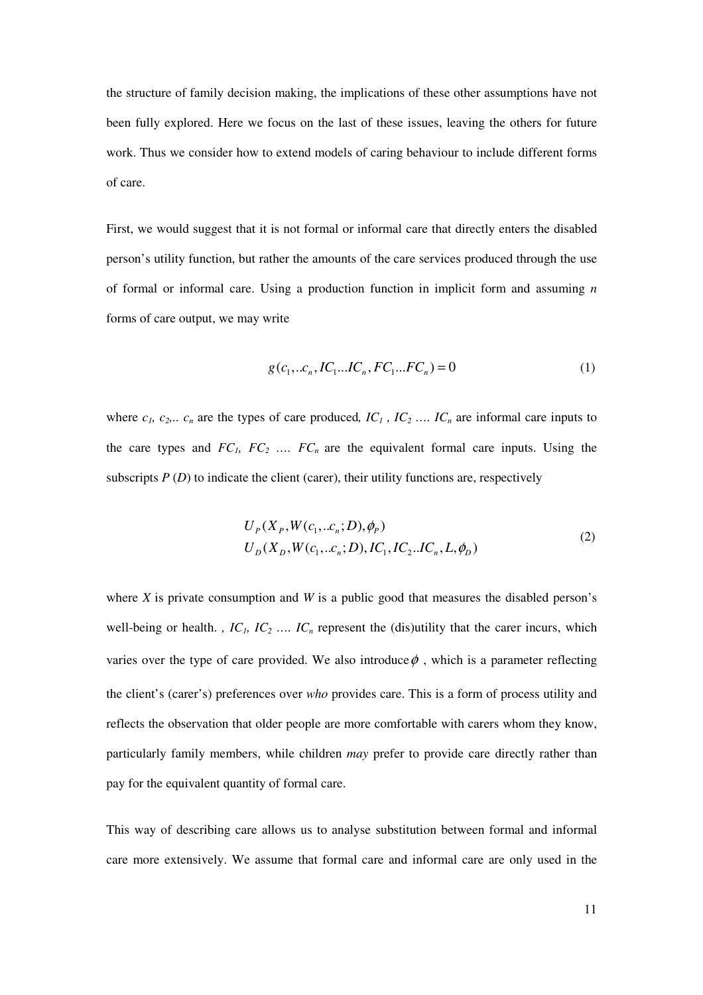the structure of family decision making, the implications of these other assumptions have not been fully explored. Here we focus on the last of these issues, leaving the others for future work. Thus we consider how to extend models of caring behaviour to include different forms of care.

First, we would suggest that it is not formal or informal care that directly enters the disabled person's utility function, but rather the amounts of the care services produced through the use of formal or informal care. Using a production function in implicit form and assuming *n* forms of care output, we may write

$$
g(c_1,..c_n, IC_1...IC_n, FC_1...FC_n) = 0
$$
 (1)

where  $c_1$ ,  $c_2$ ,  $c_n$  are the types of care produced,  $IC_1$ ,  $IC_2$  ...,  $IC_n$  are informal care inputs to the care types and  $FC_1$ ,  $FC_2$  ...,  $FC_n$  are the equivalent formal care inputs. Using the subscripts  $P(D)$  to indicate the client (carer), their utility functions are, respectively

$$
U_p(X_p, W(c_1, ...c_n; D), \phi_p)
$$
  
\n
$$
U_p(X_p, W(c_1, ...c_n; D), IC_1, IC_2...IC_n, L, \phi_p)
$$
\n(2)

where *X* is private consumption and *W* is a public good that measures the disabled person's well-being or health. *, IC<sub>1</sub>*, *IC*<sub>2</sub> ..., *IC*<sub>n</sub> represent the (dis)utility that the carer incurs, which varies over the type of care provided. We also introduce  $\phi$ , which is a parameter reflecting the client's (carer's) preferences over *who* provides care. This is a form of process utility and reflects the observation that older people are more comfortable with carers whom they know, particularly family members, while children *may* prefer to provide care directly rather than pay for the equivalent quantity of formal care.

This way of describing care allows us to analyse substitution between formal and informal care more extensively. We assume that formal care and informal care are only used in the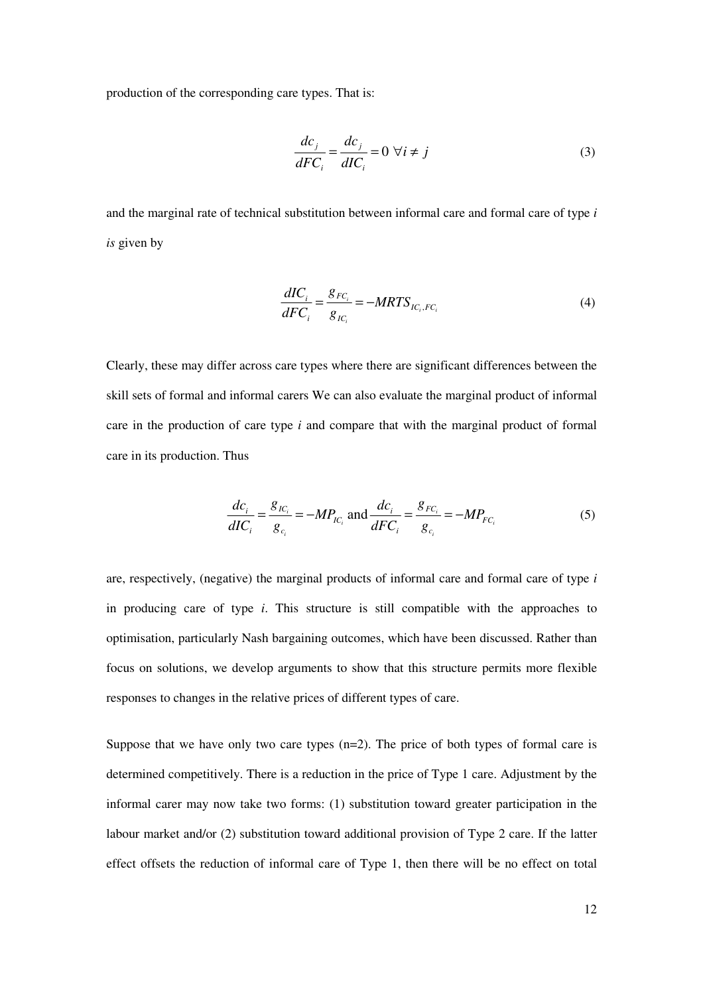production of the corresponding care types. That is:

$$
\frac{dc_j}{dFC_i} = \frac{dc_j}{dIC_i} = 0 \,\,\forall i \neq j \tag{3}
$$

and the marginal rate of technical substitution between informal care and formal care of type *i is* given by

$$
\frac{dIC_i}{dFC_i} = \frac{g_{FC_i}}{g_{IC_i}} = -MRTS_{IC_i,FC_i}
$$
\n(4)

Clearly, these may differ across care types where there are significant differences between the skill sets of formal and informal carers We can also evaluate the marginal product of informal care in the production of care type *i* and compare that with the marginal product of formal care in its production. Thus

$$
\frac{dc_i}{dIC_i} = \frac{g_{IC_i}}{g_{c_i}} = -MP_{IC_i} \text{ and } \frac{dc_i}{dFC_i} = \frac{g_{FC_i}}{g_{c_i}} = -MP_{FC_i}
$$
(5)

are, respectively, (negative) the marginal products of informal care and formal care of type *i* in producing care of type *i*. This structure is still compatible with the approaches to optimisation, particularly Nash bargaining outcomes, which have been discussed. Rather than focus on solutions, we develop arguments to show that this structure permits more flexible responses to changes in the relative prices of different types of care.

Suppose that we have only two care types  $(n=2)$ . The price of both types of formal care is determined competitively. There is a reduction in the price of Type 1 care. Adjustment by the informal carer may now take two forms: (1) substitution toward greater participation in the labour market and/or (2) substitution toward additional provision of Type 2 care. If the latter effect offsets the reduction of informal care of Type 1, then there will be no effect on total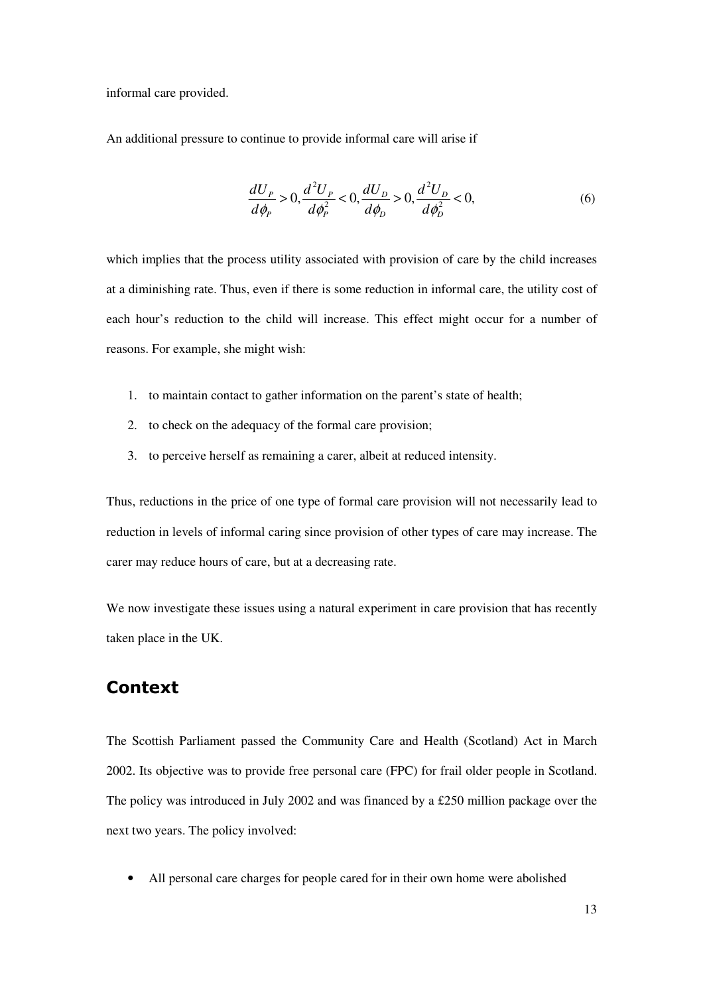informal care provided.

An additional pressure to continue to provide informal care will arise if

$$
\frac{dU_{P}}{d\phi_{P}} > 0, \frac{d^{2}U_{P}}{d\phi_{P}^{2}} < 0, \frac{dU_{D}}{d\phi_{D}} > 0, \frac{d^{2}U_{D}}{d\phi_{D}^{2}} < 0, \tag{6}
$$

which implies that the process utility associated with provision of care by the child increases at a diminishing rate. Thus, even if there is some reduction in informal care, the utility cost of each hour's reduction to the child will increase. This effect might occur for a number of reasons. For example, she might wish:

- 1. to maintain contact to gather information on the parent's state of health;
- 2. to check on the adequacy of the formal care provision;
- 3. to perceive herself as remaining a carer, albeit at reduced intensity.

Thus, reductions in the price of one type of formal care provision will not necessarily lead to reduction in levels of informal caring since provision of other types of care may increase. The carer may reduce hours of care, but at a decreasing rate.

We now investigate these issues using a natural experiment in care provision that has recently taken place in the UK.

# Context

The Scottish Parliament passed the Community Care and Health (Scotland) Act in March 2002. Its objective was to provide free personal care (FPC) for frail older people in Scotland. The policy was introduced in July 2002 and was financed by a £250 million package over the next two years. The policy involved:

All personal care charges for people cared for in their own home were abolished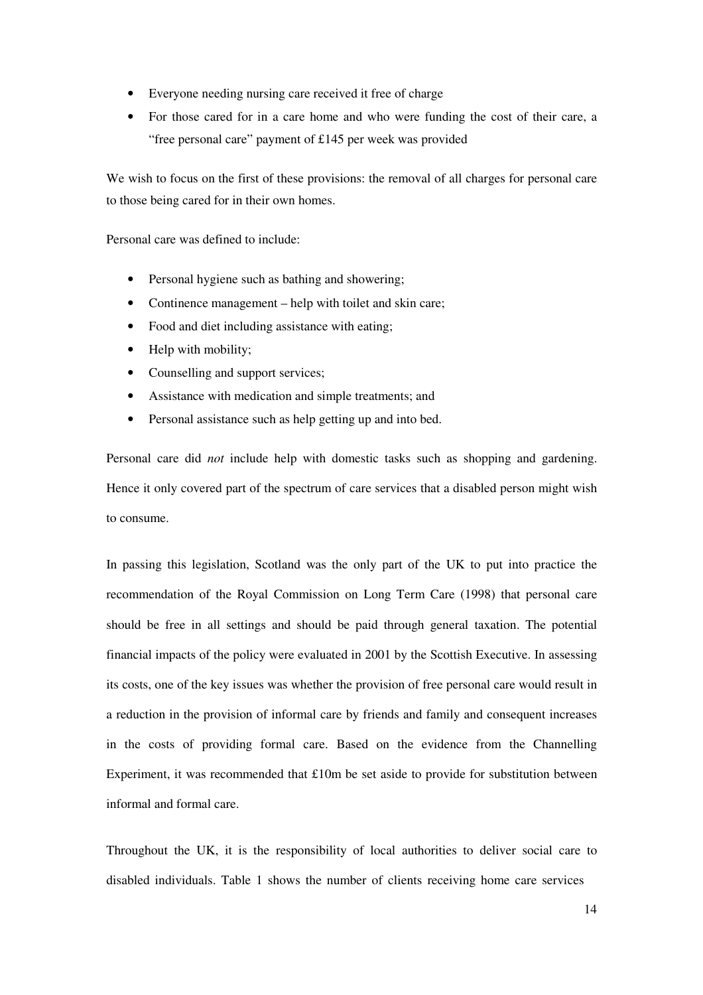- Everyone needing nursing care received it free of charge
- For those cared for in a care home and who were funding the cost of their care, a "free personal care" payment of £145 per week was provided

We wish to focus on the first of these provisions: the removal of all charges for personal care to those being cared for in their own homes.

Personal care was defined to include:

- Personal hygiene such as bathing and showering:
- Continence management help with toilet and skin care;
- Food and diet including assistance with eating;
- Help with mobility;
- Counselling and support services;
- Assistance with medication and simple treatments; and
- Personal assistance such as help getting up and into bed.

Personal care did *not* include help with domestic tasks such as shopping and gardening. Hence it only covered part of the spectrum of care services that a disabled person might wish to consume.

In passing this legislation, Scotland was the only part of the UK to put into practice the recommendation of the Royal Commission on Long Term Care (1998) that personal care should be free in all settings and should be paid through general taxation. The potential financial impacts of the policy were evaluated in 2001 by the Scottish Executive. In assessing its costs, one of the key issues was whether the provision of free personal care would result in a reduction in the provision of informal care by friends and family and consequent increases in the costs of providing formal care. Based on the evidence from the Channelling Experiment, it was recommended that £10m be set aside to provide for substitution between informal and formal care.

Throughout the UK, it is the responsibility of local authorities to deliver social care to disabled individuals. Table 1 shows the number of clients receiving home care services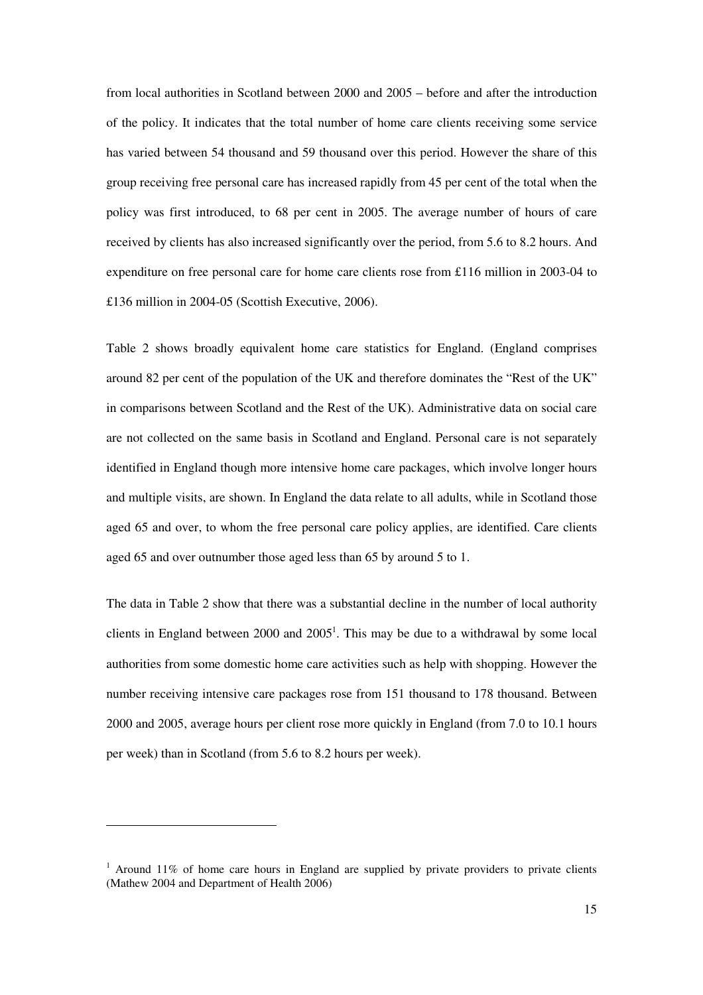from local authorities in Scotland between 2000 and 2005 – before and after the introduction of the policy. It indicates that the total number of home care clients receiving some service has varied between 54 thousand and 59 thousand over this period. However the share of this group receiving free personal care has increased rapidly from 45 per cent of the total when the policy was first introduced, to 68 per cent in 2005. The average number of hours of care received by clients has also increased significantly over the period, from 5.6 to 8.2 hours. And expenditure on free personal care for home care clients rose from £116 million in 2003-04 to £136 million in 2004-05 (Scottish Executive, 2006).

Table 2 shows broadly equivalent home care statistics for England. (England comprises around 82 per cent of the population of the UK and therefore dominates the "Rest of the UK" in comparisons between Scotland and the Rest of the UK). Administrative data on social care are not collected on the same basis in Scotland and England. Personal care is not separately identified in England though more intensive home care packages, which involve longer hours and multiple visits, are shown. In England the data relate to all adults, while in Scotland those aged 65 and over, to whom the free personal care policy applies, are identified. Care clients aged 65 and over outnumber those aged less than 65 by around 5 to 1.

The data in Table 2 show that there was a substantial decline in the number of local authority clients in England between  $2000$  and  $2005<sup>1</sup>$ . This may be due to a withdrawal by some local authorities from some domestic home care activities such as help with shopping. However the number receiving intensive care packages rose from 151 thousand to 178 thousand. Between 2000 and 2005, average hours per client rose more quickly in England (from 7.0 to 10.1 hours per week) than in Scotland (from 5.6 to 8.2 hours per week).

 $\overline{a}$ 

 $1$  Around 11% of home care hours in England are supplied by private providers to private clients (Mathew 2004 and Department of Health 2006)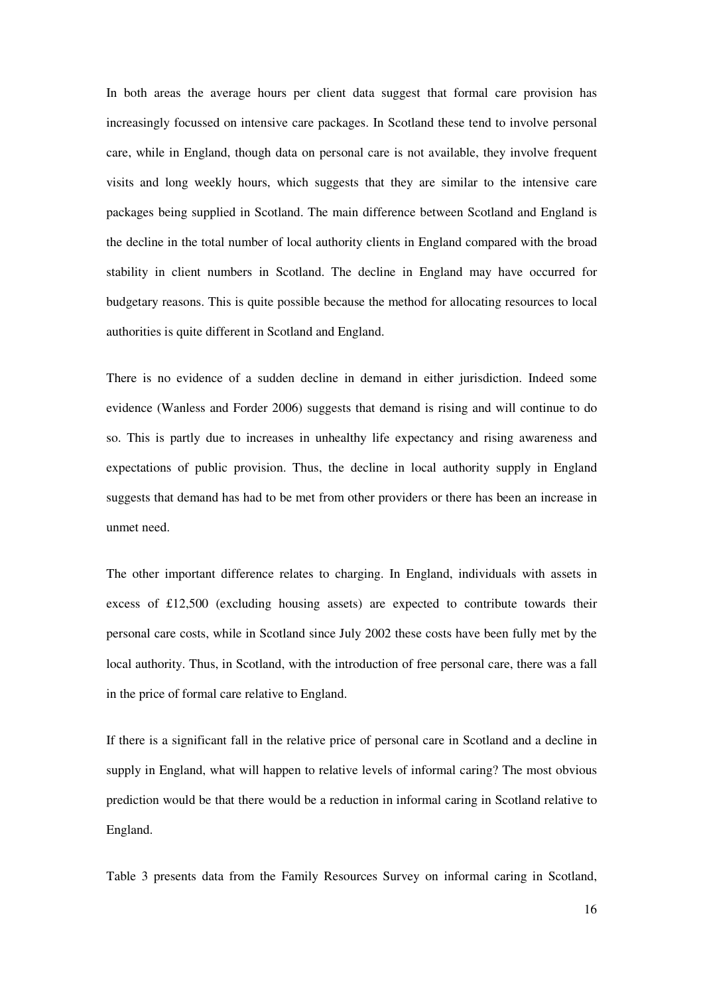In both areas the average hours per client data suggest that formal care provision has increasingly focussed on intensive care packages. In Scotland these tend to involve personal care, while in England, though data on personal care is not available, they involve frequent visits and long weekly hours, which suggests that they are similar to the intensive care packages being supplied in Scotland. The main difference between Scotland and England is the decline in the total number of local authority clients in England compared with the broad stability in client numbers in Scotland. The decline in England may have occurred for budgetary reasons. This is quite possible because the method for allocating resources to local authorities is quite different in Scotland and England.

There is no evidence of a sudden decline in demand in either jurisdiction. Indeed some evidence (Wanless and Forder 2006) suggests that demand is rising and will continue to do so. This is partly due to increases in unhealthy life expectancy and rising awareness and expectations of public provision. Thus, the decline in local authority supply in England suggests that demand has had to be met from other providers or there has been an increase in unmet need.

The other important difference relates to charging. In England, individuals with assets in excess of £12,500 (excluding housing assets) are expected to contribute towards their personal care costs, while in Scotland since July 2002 these costs have been fully met by the local authority. Thus, in Scotland, with the introduction of free personal care, there was a fall in the price of formal care relative to England.

If there is a significant fall in the relative price of personal care in Scotland and a decline in supply in England, what will happen to relative levels of informal caring? The most obvious prediction would be that there would be a reduction in informal caring in Scotland relative to England.

Table 3 presents data from the Family Resources Survey on informal caring in Scotland,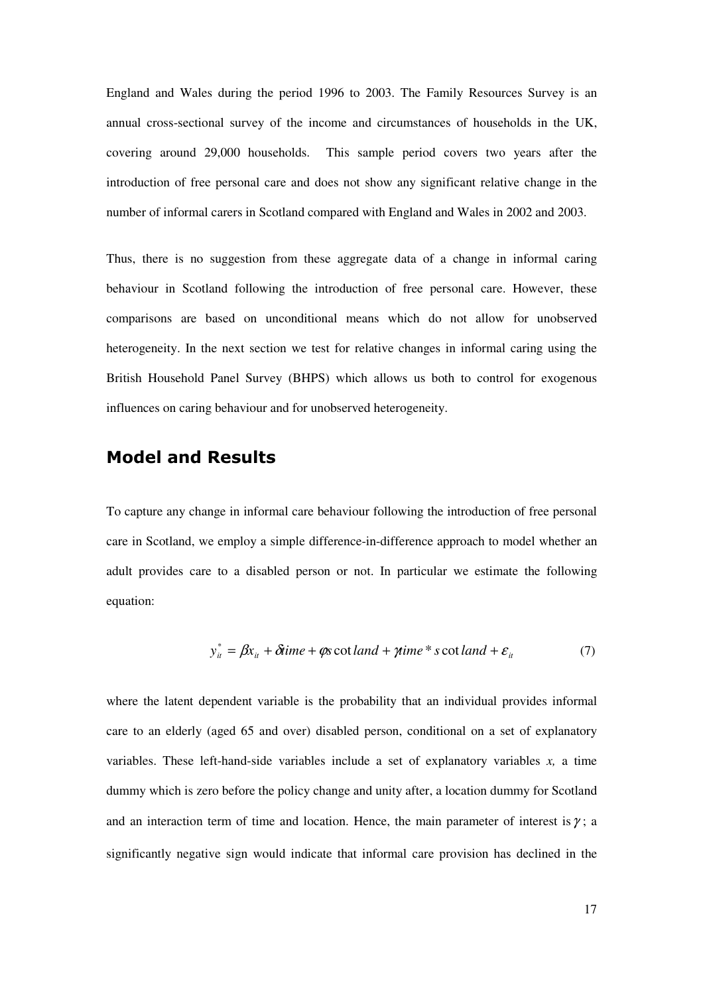England and Wales during the period 1996 to 2003. The Family Resources Survey is an annual cross-sectional survey of the income and circumstances of households in the UK, covering around 29,000 households. This sample period covers two years after the introduction of free personal care and does not show any significant relative change in the number of informal carers in Scotland compared with England and Wales in 2002 and 2003.

Thus, there is no suggestion from these aggregate data of a change in informal caring behaviour in Scotland following the introduction of free personal care. However, these comparisons are based on unconditional means which do not allow for unobserved heterogeneity. In the next section we test for relative changes in informal caring using the British Household Panel Survey (BHPS) which allows us both to control for exogenous influences on caring behaviour and for unobserved heterogeneity.

# Model and Results

To capture any change in informal care behaviour following the introduction of free personal care in Scotland, we employ a simple difference-in-difference approach to model whether an adult provides care to a disabled person or not. In particular we estimate the following equation:

$$
y_{it}^* = \beta x_{it} + \delta time + \varphi s \cot land + \gamma time * s \cot land + \varepsilon_{it}
$$
 (7)

where the latent dependent variable is the probability that an individual provides informal care to an elderly (aged 65 and over) disabled person, conditional on a set of explanatory variables. These left-hand-side variables include a set of explanatory variables *x,* a time dummy which is zero before the policy change and unity after, a location dummy for Scotland and an interaction term of time and location. Hence, the main parameter of interest is  $\gamma$ ; a significantly negative sign would indicate that informal care provision has declined in the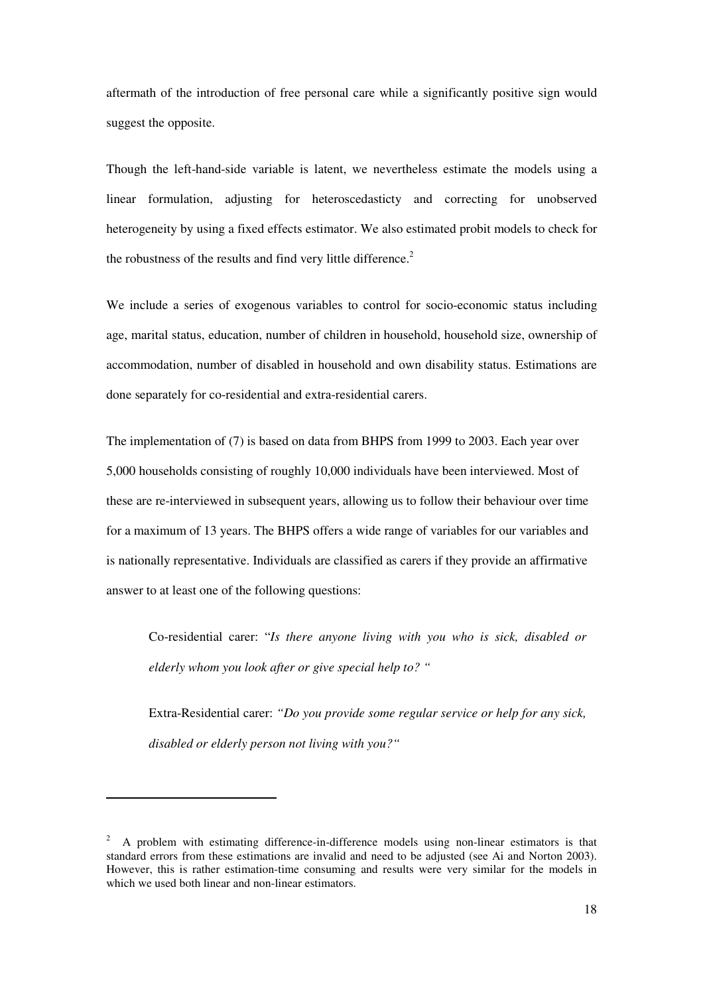aftermath of the introduction of free personal care while a significantly positive sign would suggest the opposite.

Though the left-hand-side variable is latent, we nevertheless estimate the models using a linear formulation, adjusting for heteroscedasticty and correcting for unobserved heterogeneity by using a fixed effects estimator. We also estimated probit models to check for the robustness of the results and find very little difference.<sup>2</sup>

We include a series of exogenous variables to control for socio-economic status including age, marital status, education, number of children in household, household size, ownership of accommodation, number of disabled in household and own disability status. Estimations are done separately for co-residential and extra-residential carers.

The implementation of (7) is based on data from BHPS from 1999 to 2003. Each year over 5,000 households consisting of roughly 10,000 individuals have been interviewed. Most of these are re-interviewed in subsequent years, allowing us to follow their behaviour over time for a maximum of 13 years. The BHPS offers a wide range of variables for our variables and is nationally representative. Individuals are classified as carers if they provide an affirmative answer to at least one of the following questions:

Co-residential carer: "*Is there anyone living with you who is sick, disabled or elderly whom you look after or give special help to? "* 

Extra-Residential carer: *"Do you provide some regular service or help for any sick, disabled or elderly person not living with you?"* 

 $\overline{a}$ 

 $2$  A problem with estimating difference-in-difference models using non-linear estimators is that standard errors from these estimations are invalid and need to be adjusted (see Ai and Norton 2003). However, this is rather estimation-time consuming and results were very similar for the models in which we used both linear and non-linear estimators.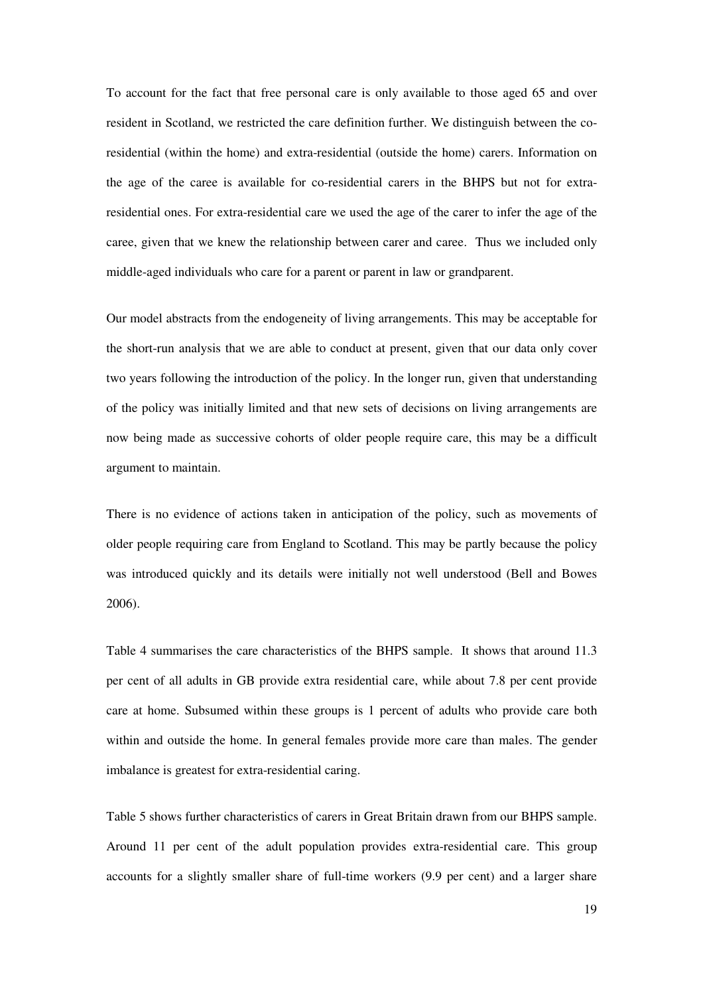To account for the fact that free personal care is only available to those aged 65 and over resident in Scotland, we restricted the care definition further. We distinguish between the coresidential (within the home) and extra-residential (outside the home) carers. Information on the age of the caree is available for co-residential carers in the BHPS but not for extraresidential ones. For extra-residential care we used the age of the carer to infer the age of the caree, given that we knew the relationship between carer and caree. Thus we included only middle-aged individuals who care for a parent or parent in law or grandparent.

Our model abstracts from the endogeneity of living arrangements. This may be acceptable for the short-run analysis that we are able to conduct at present, given that our data only cover two years following the introduction of the policy. In the longer run, given that understanding of the policy was initially limited and that new sets of decisions on living arrangements are now being made as successive cohorts of older people require care, this may be a difficult argument to maintain.

There is no evidence of actions taken in anticipation of the policy, such as movements of older people requiring care from England to Scotland. This may be partly because the policy was introduced quickly and its details were initially not well understood (Bell and Bowes 2006).

Table 4 summarises the care characteristics of the BHPS sample. It shows that around 11.3 per cent of all adults in GB provide extra residential care, while about 7.8 per cent provide care at home. Subsumed within these groups is 1 percent of adults who provide care both within and outside the home. In general females provide more care than males. The gender imbalance is greatest for extra-residential caring.

Table 5 shows further characteristics of carers in Great Britain drawn from our BHPS sample. Around 11 per cent of the adult population provides extra-residential care. This group accounts for a slightly smaller share of full-time workers (9.9 per cent) and a larger share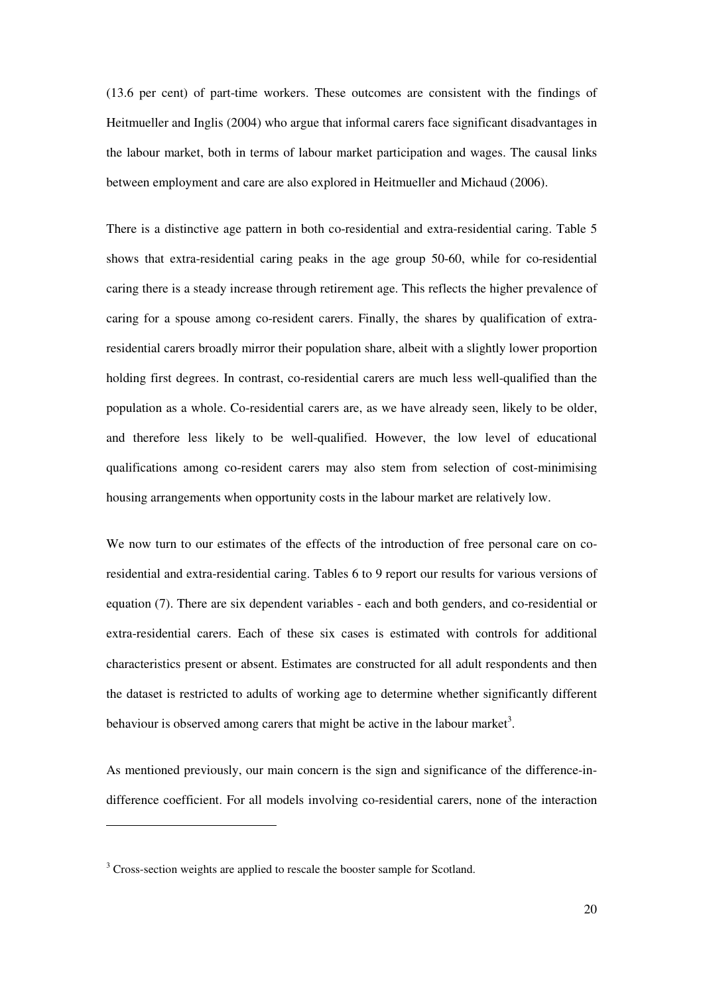(13.6 per cent) of part-time workers. These outcomes are consistent with the findings of Heitmueller and Inglis (2004) who argue that informal carers face significant disadvantages in the labour market, both in terms of labour market participation and wages. The causal links between employment and care are also explored in Heitmueller and Michaud (2006).

There is a distinctive age pattern in both co-residential and extra-residential caring. Table 5 shows that extra-residential caring peaks in the age group 50-60, while for co-residential caring there is a steady increase through retirement age. This reflects the higher prevalence of caring for a spouse among co-resident carers. Finally, the shares by qualification of extraresidential carers broadly mirror their population share, albeit with a slightly lower proportion holding first degrees. In contrast, co-residential carers are much less well-qualified than the population as a whole. Co-residential carers are, as we have already seen, likely to be older, and therefore less likely to be well-qualified. However, the low level of educational qualifications among co-resident carers may also stem from selection of cost-minimising housing arrangements when opportunity costs in the labour market are relatively low.

We now turn to our estimates of the effects of the introduction of free personal care on coresidential and extra-residential caring. Tables 6 to 9 report our results for various versions of equation (7). There are six dependent variables - each and both genders, and co-residential or extra-residential carers. Each of these six cases is estimated with controls for additional characteristics present or absent. Estimates are constructed for all adult respondents and then the dataset is restricted to adults of working age to determine whether significantly different behaviour is observed among carers that might be active in the labour market<sup>3</sup>.

As mentioned previously, our main concern is the sign and significance of the difference-indifference coefficient. For all models involving co-residential carers, none of the interaction

 $\overline{a}$ 

 $3$  Cross-section weights are applied to rescale the booster sample for Scotland.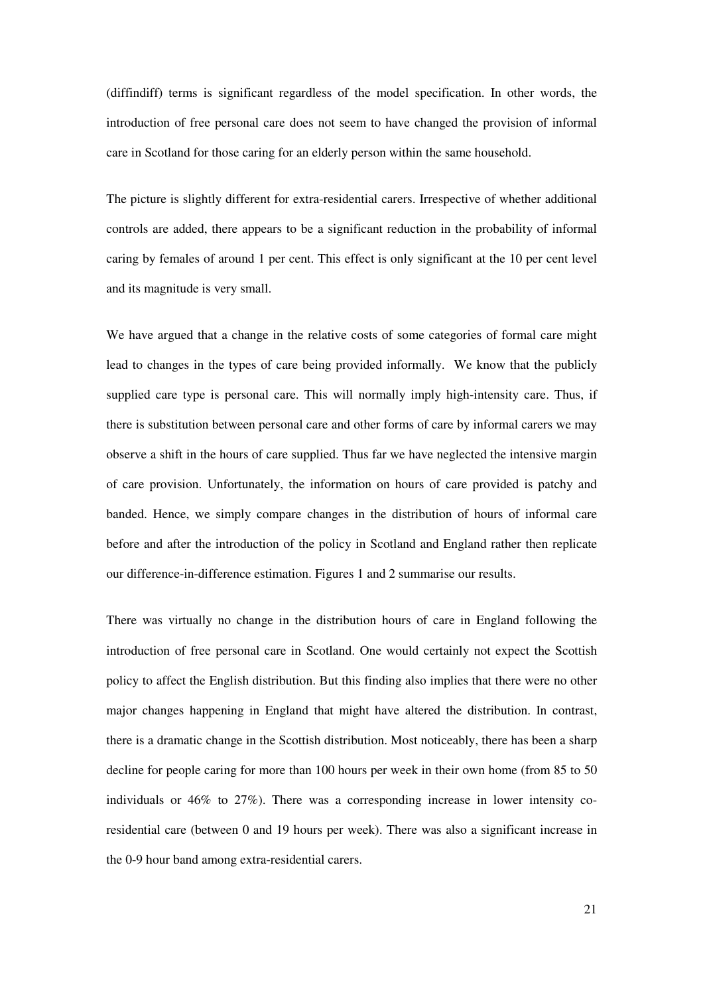(diffindiff) terms is significant regardless of the model specification. In other words, the introduction of free personal care does not seem to have changed the provision of informal care in Scotland for those caring for an elderly person within the same household.

The picture is slightly different for extra-residential carers. Irrespective of whether additional controls are added, there appears to be a significant reduction in the probability of informal caring by females of around 1 per cent. This effect is only significant at the 10 per cent level and its magnitude is very small.

We have argued that a change in the relative costs of some categories of formal care might lead to changes in the types of care being provided informally. We know that the publicly supplied care type is personal care. This will normally imply high-intensity care. Thus, if there is substitution between personal care and other forms of care by informal carers we may observe a shift in the hours of care supplied. Thus far we have neglected the intensive margin of care provision. Unfortunately, the information on hours of care provided is patchy and banded. Hence, we simply compare changes in the distribution of hours of informal care before and after the introduction of the policy in Scotland and England rather then replicate our difference-in-difference estimation. Figures 1 and 2 summarise our results.

There was virtually no change in the distribution hours of care in England following the introduction of free personal care in Scotland. One would certainly not expect the Scottish policy to affect the English distribution. But this finding also implies that there were no other major changes happening in England that might have altered the distribution. In contrast, there is a dramatic change in the Scottish distribution. Most noticeably, there has been a sharp decline for people caring for more than 100 hours per week in their own home (from 85 to 50 individuals or 46% to 27%). There was a corresponding increase in lower intensity coresidential care (between 0 and 19 hours per week). There was also a significant increase in the 0-9 hour band among extra-residential carers.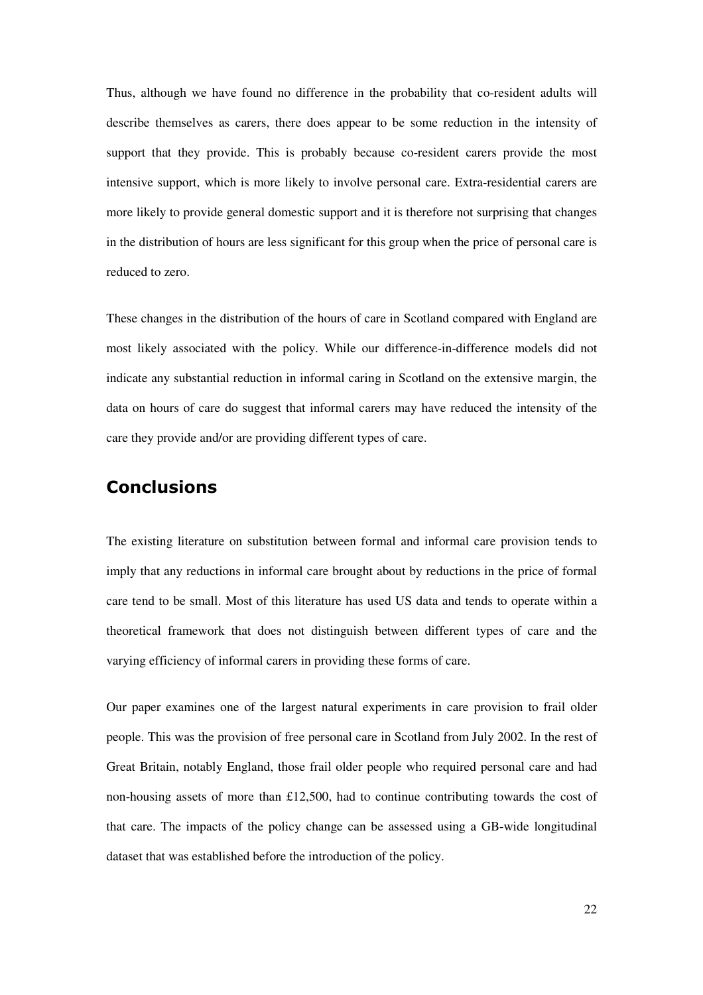Thus, although we have found no difference in the probability that co-resident adults will describe themselves as carers, there does appear to be some reduction in the intensity of support that they provide. This is probably because co-resident carers provide the most intensive support, which is more likely to involve personal care. Extra-residential carers are more likely to provide general domestic support and it is therefore not surprising that changes in the distribution of hours are less significant for this group when the price of personal care is reduced to zero.

These changes in the distribution of the hours of care in Scotland compared with England are most likely associated with the policy. While our difference-in-difference models did not indicate any substantial reduction in informal caring in Scotland on the extensive margin, the data on hours of care do suggest that informal carers may have reduced the intensity of the care they provide and/or are providing different types of care.

# Conclusions

The existing literature on substitution between formal and informal care provision tends to imply that any reductions in informal care brought about by reductions in the price of formal care tend to be small. Most of this literature has used US data and tends to operate within a theoretical framework that does not distinguish between different types of care and the varying efficiency of informal carers in providing these forms of care.

Our paper examines one of the largest natural experiments in care provision to frail older people. This was the provision of free personal care in Scotland from July 2002. In the rest of Great Britain, notably England, those frail older people who required personal care and had non-housing assets of more than £12,500, had to continue contributing towards the cost of that care. The impacts of the policy change can be assessed using a GB-wide longitudinal dataset that was established before the introduction of the policy.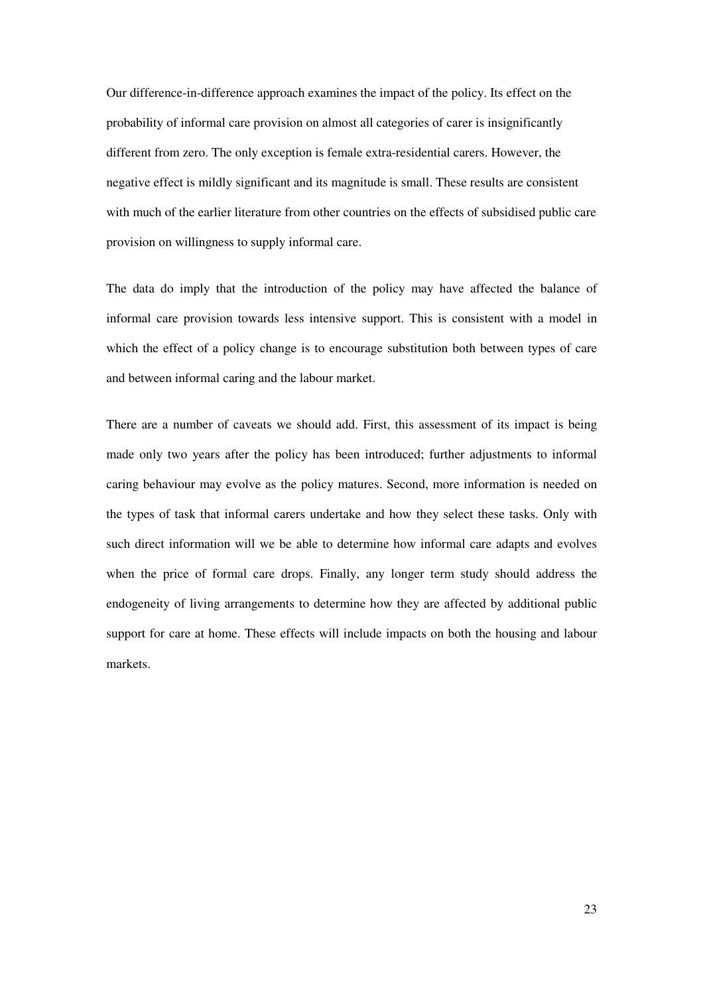Our difference-in-difference approach examines the impact of the policy. Its effect on the probability of informal care provision on almost all categories of carer is insignificantly different from zero. The only exception is female extra-residential carers. However, the negative effect is mildly significant and its magnitude is small. These results are consistent with much of the earlier literature from other countries on the effects of subsidised public care provision on willingness to supply informal care.

The data do imply that the introduction of the policy may have affected the balance of informal care provision towards less intensive support. This is consistent with a model in which the effect of a policy change is to encourage substitution both between types of care and between informal caring and the labour market.

There are a number of caveats we should add. First, this assessment of its impact is being made only two years after the policy has been introduced; further adjustments to informal caring behaviour may evolve as the policy matures. Second, more information is needed on the types of task that informal carers undertake and how they select these tasks. Only with such direct information will we be able to determine how informal care adapts and evolves when the price of formal care drops. Finally, any longer term study should address the endogeneity of living arrangements to determine how they are affected by additional public support for care at home. These effects will include impacts on both the housing and labour markets.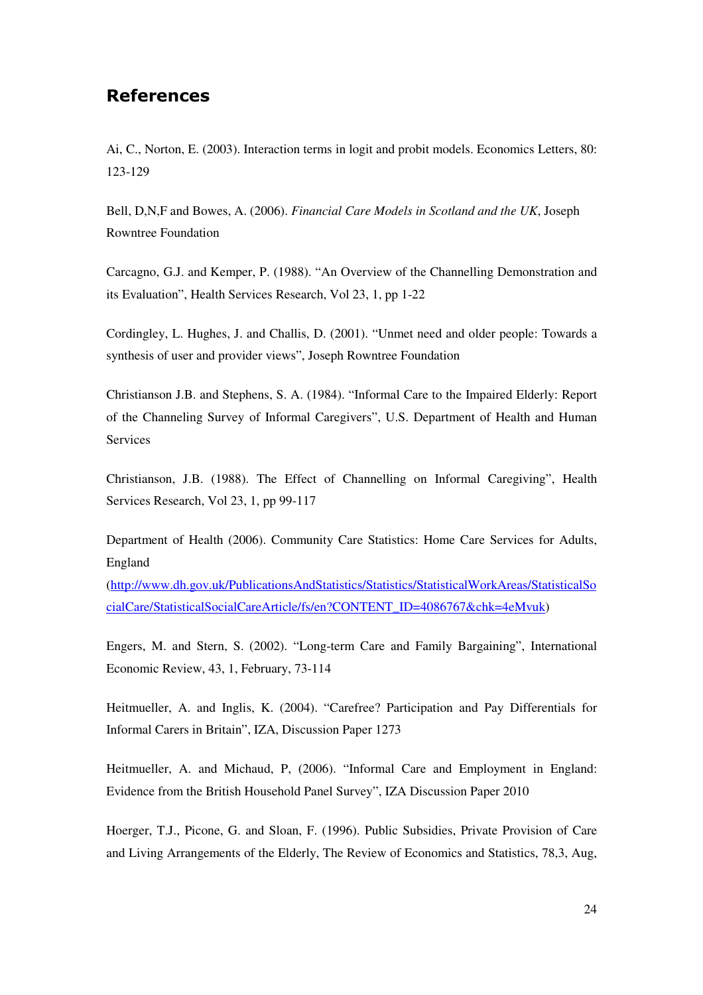# References

Ai, C., Norton, E. (2003). Interaction terms in logit and probit models. Economics Letters, 80: 123-129

Bell, D,N,F and Bowes, A. (2006). *Financial Care Models in Scotland and the UK*, Joseph Rowntree Foundation

Carcagno, G.J. and Kemper, P. (1988). "An Overview of the Channelling Demonstration and its Evaluation", Health Services Research, Vol 23, 1, pp 1-22

Cordingley, L. Hughes, J. and Challis, D. (2001). "Unmet need and older people: Towards a synthesis of user and provider views", Joseph Rowntree Foundation

Christianson J.B. and Stephens, S. A. (1984). "Informal Care to the Impaired Elderly: Report of the Channeling Survey of Informal Caregivers", U.S. Department of Health and Human Services

Christianson, J.B. (1988). The Effect of Channelling on Informal Caregiving", Health Services Research, Vol 23, 1, pp 99-117

Department of Health (2006). Community Care Statistics: Home Care Services for Adults, England

(http://www.dh.gov.uk/PublicationsAndStatistics/Statistics/StatisticalWorkAreas/StatisticalSo cialCare/StatisticalSocialCareArticle/fs/en?CONTENT\_ID=4086767&chk=4eMvuk)

Engers, M. and Stern, S. (2002). "Long-term Care and Family Bargaining", International Economic Review, 43, 1, February, 73-114

Heitmueller, A. and Inglis, K. (2004). "Carefree? Participation and Pay Differentials for Informal Carers in Britain", IZA, Discussion Paper 1273

Heitmueller, A. and Michaud, P, (2006). "Informal Care and Employment in England: Evidence from the British Household Panel Survey", IZA Discussion Paper 2010

Hoerger, T.J., Picone, G. and Sloan, F. (1996). Public Subsidies, Private Provision of Care and Living Arrangements of the Elderly, The Review of Economics and Statistics, 78,3, Aug,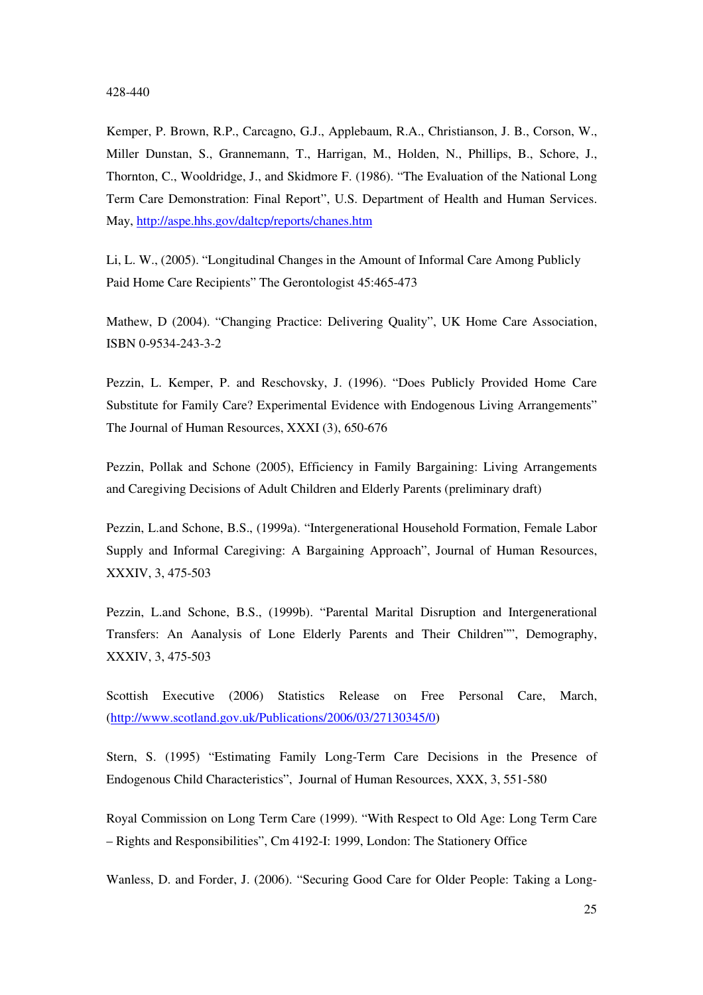#### 428-440

Kemper, P. Brown, R.P., Carcagno, G.J., Applebaum, R.A., Christianson, J. B., Corson, W., Miller Dunstan, S., Grannemann, T., Harrigan, M., Holden, N., Phillips, B., Schore, J., Thornton, C., Wooldridge, J., and Skidmore F. (1986). "The Evaluation of the National Long Term Care Demonstration: Final Report", U.S. Department of Health and Human Services. May, http://aspe.hhs.gov/daltcp/reports/chanes.htm

Li, L. W., (2005). "Longitudinal Changes in the Amount of Informal Care Among Publicly Paid Home Care Recipients" The Gerontologist 45:465-473

Mathew, D (2004). "Changing Practice: Delivering Quality", UK Home Care Association, ISBN 0-9534-243-3-2

Pezzin, L. Kemper, P. and Reschovsky, J. (1996). "Does Publicly Provided Home Care Substitute for Family Care? Experimental Evidence with Endogenous Living Arrangements" The Journal of Human Resources, XXXI (3), 650-676

Pezzin, Pollak and Schone (2005), Efficiency in Family Bargaining: Living Arrangements and Caregiving Decisions of Adult Children and Elderly Parents (preliminary draft)

Pezzin, L.and Schone, B.S., (1999a). "Intergenerational Household Formation, Female Labor Supply and Informal Caregiving: A Bargaining Approach", Journal of Human Resources, XXXIV, 3, 475-503

Pezzin, L.and Schone, B.S., (1999b). "Parental Marital Disruption and Intergenerational Transfers: An Aanalysis of Lone Elderly Parents and Their Children"", Demography, XXXIV, 3, 475-503

Scottish Executive (2006) Statistics Release on Free Personal Care, March, (http://www.scotland.gov.uk/Publications/2006/03/27130345/0)

Stern, S. (1995) "Estimating Family Long-Term Care Decisions in the Presence of Endogenous Child Characteristics", Journal of Human Resources, XXX, 3, 551-580

Royal Commission on Long Term Care (1999). "With Respect to Old Age: Long Term Care – Rights and Responsibilities", Cm 4192-I: 1999, London: The Stationery Office

Wanless, D. and Forder, J. (2006). "Securing Good Care for Older People: Taking a Long-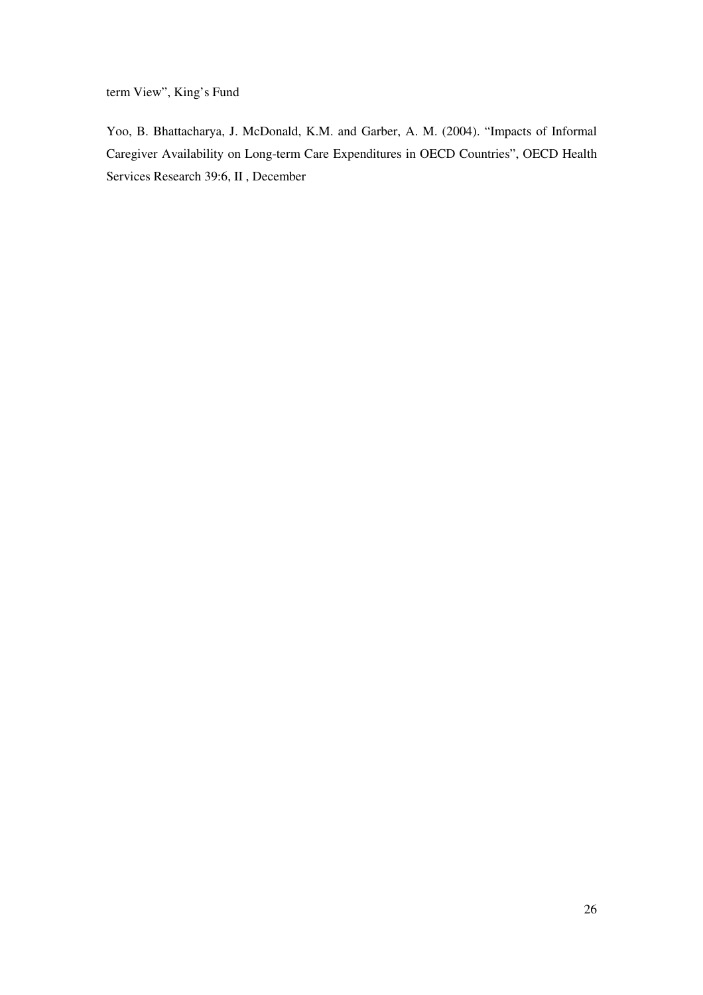term View", King's Fund

Yoo, B. Bhattacharya, J. McDonald, K.M. and Garber, A. M. (2004). "Impacts of Informal Caregiver Availability on Long-term Care Expenditures in OECD Countries", OECD Health Services Research 39:6, II , December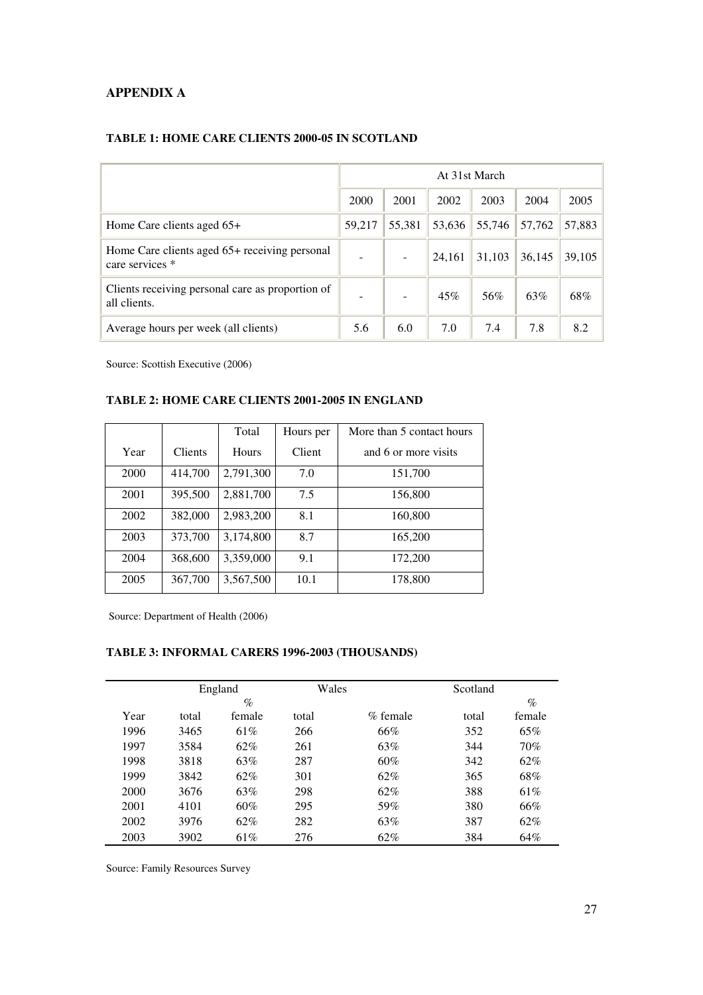### **APPENDIX A**

|                                                                  |        |        | At 31st March |        |        |        |  |  |
|------------------------------------------------------------------|--------|--------|---------------|--------|--------|--------|--|--|
|                                                                  | 2000   | 2001   | 2002          | 2003   | 2004   | 2005   |  |  |
| Home Care clients aged $65+$                                     | 59,217 | 55,381 | 53,636        | 55,746 | 57,762 | 57,883 |  |  |
| Home Care clients aged 65+ receiving personal<br>care services * |        |        | 24,161        | 31,103 | 36,145 | 39,105 |  |  |
| Clients receiving personal care as proportion of<br>all clients. |        |        | 45%           | 56%    | 63%    | 68%    |  |  |
| Average hours per week (all clients)                             | 5.6    | 6.0    | 7.0           | 7.4    | 7.8    | 8.2    |  |  |

### **TABLE 1: HOME CARE CLIENTS 2000-05 IN SCOTLAND**

Source: Scottish Executive (2006)

### **TABLE 2: HOME CARE CLIENTS 2001-2005 IN ENGLAND**

|      |                | Total        | Hours per | More than 5 contact hours |  |  |  |  |
|------|----------------|--------------|-----------|---------------------------|--|--|--|--|
| Year | <b>Clients</b> | <b>Hours</b> | Client    | and 6 or more visits      |  |  |  |  |
| 2000 | 414,700        | 2,791,300    | 7.0       | 151,700                   |  |  |  |  |
| 2001 | 395,500        | 2,881,700    | 7.5       | 156,800                   |  |  |  |  |
| 2002 | 382,000        | 2,983,200    | 8.1       | 160,800                   |  |  |  |  |
| 2003 | 373,700        | 3,174,800    | 8.7       | 165,200                   |  |  |  |  |
| 2004 | 368,600        | 3,359,000    | 9.1       | 172,200                   |  |  |  |  |
| 2005 | 367,700        | 3,567,500    | 10.1      | 178,800                   |  |  |  |  |

Source: Department of Health (2006)

#### **TABLE 3: INFORMAL CARERS 1996-2003 (THOUSANDS)**

|      |       | England | Wales |          | Scotland |        |
|------|-------|---------|-------|----------|----------|--------|
|      |       | $\%$    |       |          |          | $\%$   |
| Year | total | female  | total | % female | total    | female |
| 1996 | 3465  | 61%     | 266   | 66%      | 352      | 65%    |
| 1997 | 3584  | 62%     | 261   | 63%      | 344      | 70%    |
| 1998 | 3818  | 63%     | 287   | 60%      | 342      | 62%    |
| 1999 | 3842  | 62%     | 301   | 62%      | 365      | 68%    |
| 2000 | 3676  | 63%     | 298   | 62%      | 388      | 61%    |
| 2001 | 4101  | 60%     | 295   | 59%      | 380      | 66%    |
| 2002 | 3976  | 62%     | 282   | 63%      | 387      | 62%    |
| 2003 | 3902  | 61%     | 276   | 62%      | 384      | 64%    |

Source: Family Resources Survey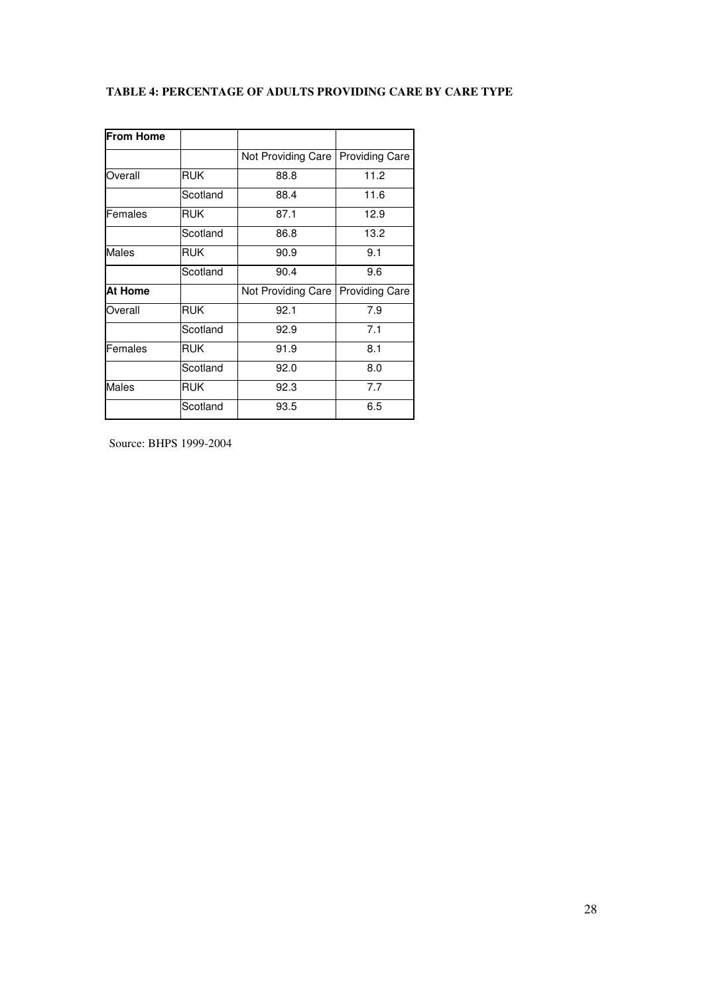| TABLE 4: PERCENTAGE OF ADULTS PROVIDING CARE BY CARE TYPE |  |  |
|-----------------------------------------------------------|--|--|
|-----------------------------------------------------------|--|--|

| <b>From Home</b> |            |                    |                       |  |  |
|------------------|------------|--------------------|-----------------------|--|--|
|                  |            | Not Providing Care | <b>Providing Care</b> |  |  |
| Overall          | <b>RUK</b> | 88.8               | 11.2                  |  |  |
|                  | Scotland   | 88.4               | 11.6                  |  |  |
| Females          | <b>RUK</b> | 87.1               | 12.9                  |  |  |
|                  | Scotland   | 86.8               | 13.2                  |  |  |
| Males            | <b>RUK</b> | 90.9               | 9.1                   |  |  |
|                  | Scotland   | 90.4               | 9.6                   |  |  |
| At Home          |            | Not Providing Care | <b>Providing Care</b> |  |  |
| Overall          | <b>RUK</b> | 92.1               | 7.9                   |  |  |
|                  | Scotland   | 92.9               | 7.1                   |  |  |
| Females          | <b>RUK</b> | 91.9               | 8.1                   |  |  |
|                  | Scotland   | 92.0               | 8.0                   |  |  |
| Males            | <b>RUK</b> | 92.3               | 7.7                   |  |  |
|                  | Scotland   | 93.5               | 6.5                   |  |  |

Source: BHPS 1999-2004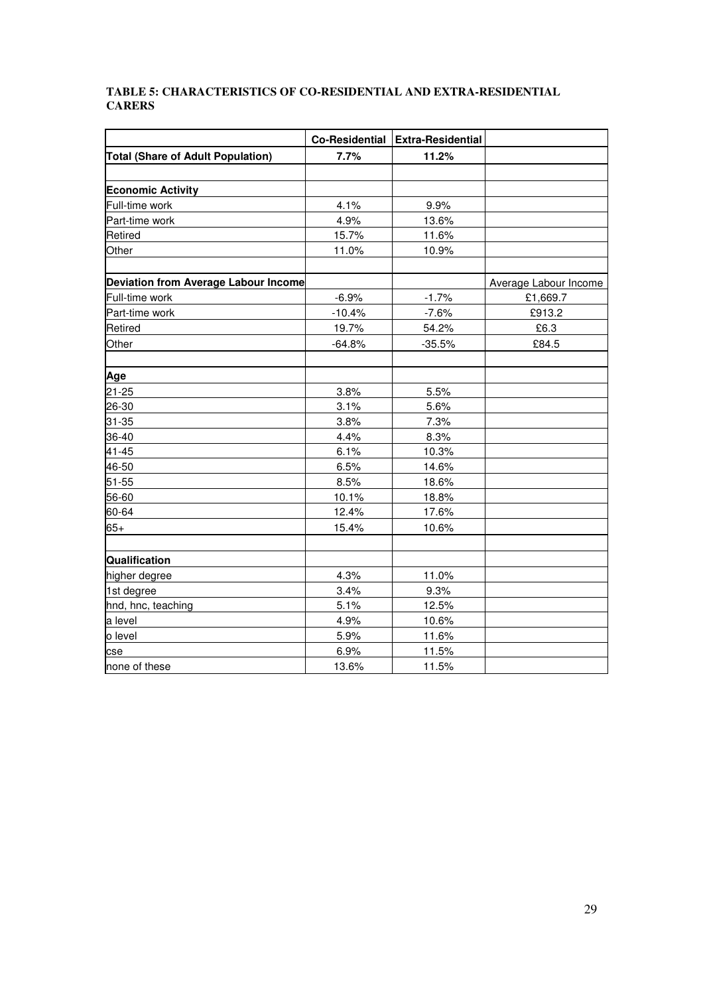### **TABLE 5: CHARACTERISTICS OF CO-RESIDENTIAL AND EXTRA-RESIDENTIAL CARERS**

|                                          | <b>Co-Residential</b> | <b>Extra-Residential</b> |                       |
|------------------------------------------|-----------------------|--------------------------|-----------------------|
| <b>Total (Share of Adult Population)</b> | 7.7%                  | 11.2%                    |                       |
|                                          |                       |                          |                       |
| <b>Economic Activity</b>                 |                       |                          |                       |
| Full-time work                           | 4.1%                  | 9.9%                     |                       |
| Part-time work                           | 4.9%                  | 13.6%                    |                       |
| Retired                                  | 15.7%                 | 11.6%                    |                       |
| Other                                    | 11.0%                 | 10.9%                    |                       |
|                                          |                       |                          |                       |
| Deviation from Average Labour Income     |                       |                          | Average Labour Income |
| Full-time work                           | $-6.9%$               | $-1.7%$                  | £1,669.7              |
| Part-time work                           | $-10.4%$              | $-7.6%$                  | £913.2                |
| Retired                                  | 19.7%                 | 54.2%                    | £6.3                  |
| Other                                    | $-64.8%$              | $-35.5%$                 | £84.5                 |
|                                          |                       |                          |                       |
| Age                                      |                       |                          |                       |
| $21 - 25$                                | 3.8%                  | 5.5%                     |                       |
| 26-30                                    | 3.1%                  | 5.6%                     |                       |
| 31-35                                    | 3.8%                  | 7.3%                     |                       |
| 36-40                                    | 4.4%                  | 8.3%                     |                       |
| $41 - 45$                                | 6.1%                  | 10.3%                    |                       |
| 46-50                                    | 6.5%                  | 14.6%                    |                       |
| 51-55                                    | 8.5%                  | 18.6%                    |                       |
| 56-60                                    | 10.1%                 | 18.8%                    |                       |
| 60-64                                    | 12.4%                 | 17.6%                    |                       |
| $65+$                                    | 15.4%                 | 10.6%                    |                       |
|                                          |                       |                          |                       |
| Qualification                            |                       |                          |                       |
| higher degree                            | 4.3%                  | 11.0%                    |                       |
| 1st degree                               | 3.4%                  | 9.3%                     |                       |
| hnd, hnc, teaching                       | 5.1%                  | 12.5%                    |                       |
| a level                                  | 4.9%                  | 10.6%                    |                       |
| o level                                  | 5.9%                  | 11.6%                    |                       |
| cse                                      | 6.9%                  | 11.5%                    |                       |
| none of these                            | 13.6%                 | 11.5%                    |                       |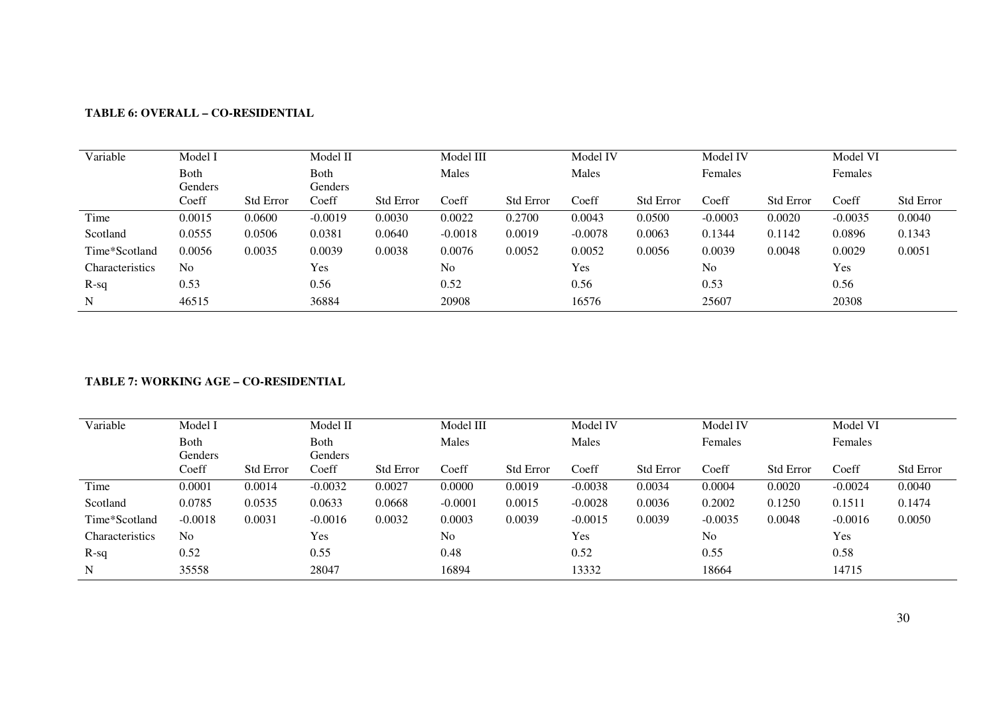| Variable        | Model I        |                  | Model II  |                  | Model III      |                  | Model IV  |                  | Model IV       |                  | Model VI  |                  |
|-----------------|----------------|------------------|-----------|------------------|----------------|------------------|-----------|------------------|----------------|------------------|-----------|------------------|
|                 | Both           |                  | Both      |                  | Males          |                  | Males     |                  | Females        |                  | Females   |                  |
|                 | Genders        |                  | Genders   |                  |                |                  |           |                  |                |                  |           |                  |
|                 | Coeff          | <b>Std Error</b> | Coeff     | <b>Std Error</b> | Coeff          | <b>Std Error</b> | Coeff     | <b>Std Error</b> | Coeff          | <b>Std Error</b> | Coeff     | <b>Std Error</b> |
| Time            | 0.0015         | 0.0600           | $-0.0019$ | 0.0030           | 0.0022         | 0.2700           | 0.0043    | 0.0500           | $-0.0003$      | 0.0020           | $-0.0035$ | 0.0040           |
| Scotland        | 0.0555         | 0.0506           | 0.0381    | 0.0640           | $-0.0018$      | 0.0019           | $-0.0078$ | 0.0063           | 0.1344         | 0.1142           | 0.0896    | 0.1343           |
| Time*Scotland   | 0.0056         | 0.0035           | 0.0039    | 0.0038           | 0.0076         | 0.0052           | 0.0052    | 0.0056           | 0.0039         | 0.0048           | 0.0029    | 0.0051           |
| Characteristics | N <sub>0</sub> |                  | Yes       |                  | N <sub>0</sub> |                  | Yes       |                  | N <sub>o</sub> |                  | Yes       |                  |
| $R-sq$          | 0.53           |                  | 0.56      |                  | 0.52           |                  | 0.56      |                  | 0.53           |                  | 0.56      |                  |
| N               | 46515          |                  | 36884     |                  | 20908          |                  | 16576     |                  | 25607          |                  | 20308     |                  |

## **TABLE 6: OVERALL – CO-RESIDENTIAL**

### **TABLE 7: WORKING AGE – CO-RESIDENTIAL**

| Variable        | Model I        |                  | Model II       |                  | Model III      |                  | Model IV  |                  | Model IV       |                  | Model VI  |                  |
|-----------------|----------------|------------------|----------------|------------------|----------------|------------------|-----------|------------------|----------------|------------------|-----------|------------------|
|                 | Both           |                  | Both           |                  | Males          |                  | Males     |                  | Females        |                  | Females   |                  |
|                 | Genders        |                  | <b>Genders</b> |                  |                |                  |           |                  |                |                  |           |                  |
|                 | Coeff          | <b>Std Error</b> | Coeff          | <b>Std Error</b> | Coeff          | <b>Std Error</b> | Coeff     | <b>Std Error</b> | Coeff          | <b>Std Error</b> | Coeff     | <b>Std Error</b> |
| Time            | 0.0001         | 0.0014           | $-0.0032$      | 0.0027           | 0.0000         | 0.0019           | $-0.0038$ | 0.0034           | 0.0004         | 0.0020           | $-0.0024$ | 0.0040           |
| Scotland        | 0.0785         | 0.0535           | 0.0633         | 0.0668           | $-0.0001$      | 0.0015           | $-0.0028$ | 0.0036           | 0.2002         | 0.1250           | 0.1511    | 0.1474           |
| Time*Scotland   | $-0.0018$      | 0.0031           | $-0.0016$      | 0.0032           | 0.0003         | 0.0039           | $-0.0015$ | 0.0039           | $-0.0035$      | 0.0048           | $-0.0016$ | 0.0050           |
| Characteristics | N <sub>0</sub> |                  | Yes            |                  | N <sub>o</sub> |                  | Yes       |                  | N <sub>o</sub> |                  | Yes       |                  |
| $R-sq$          | 0.52           |                  | 0.55           |                  | 0.48           |                  | 0.52      |                  | 0.55           |                  | 0.58      |                  |
| N               | 35558          |                  | 28047          |                  | 16894          |                  | 13332     |                  | 18664          |                  | 14715     |                  |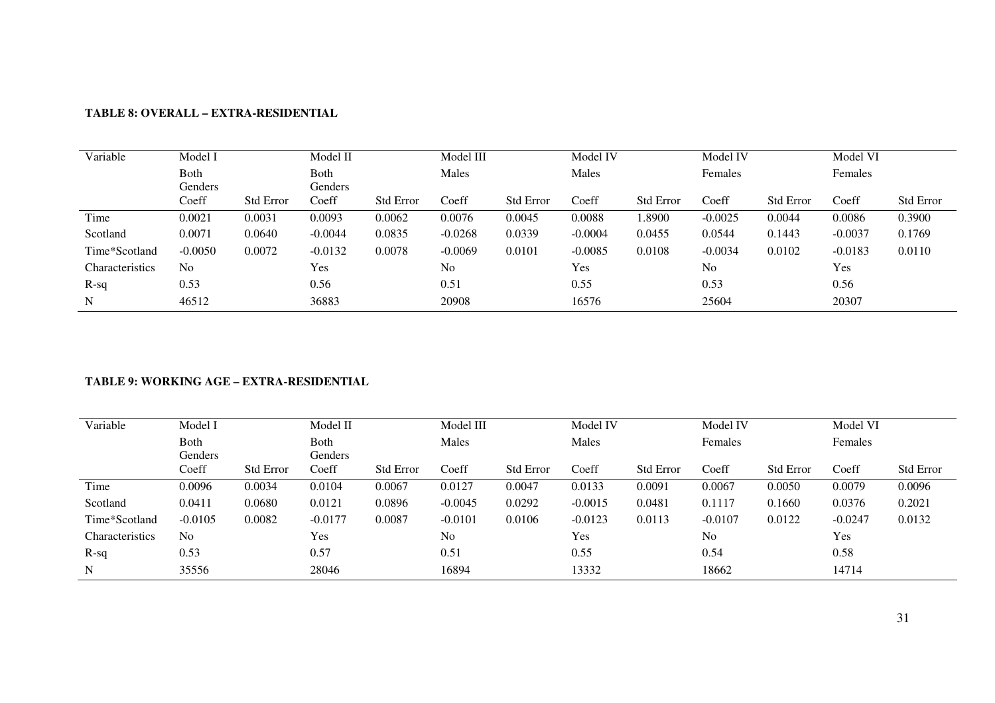| Variable        | Model I        |                  | Model II  |                  | Model III      |                  | Model IV  |                  | Model IV       |                  | Model VI  |                  |
|-----------------|----------------|------------------|-----------|------------------|----------------|------------------|-----------|------------------|----------------|------------------|-----------|------------------|
|                 | Both           |                  | Both      |                  | Males          |                  | Males     |                  | Females        |                  | Females   |                  |
|                 | Genders        |                  | Genders   |                  |                |                  |           |                  |                |                  |           |                  |
|                 | Coeff          | <b>Std Error</b> | Coeff     | <b>Std Error</b> | Coeff          | <b>Std Error</b> | Coeff     | <b>Std Error</b> | Coeff          | <b>Std Error</b> | Coeff     | <b>Std Error</b> |
| Time            | 0.0021         | 0.0031           | 0.0093    | 0.0062           | 0.0076         | 0.0045           | 0.0088    | 1.8900           | $-0.0025$      | 0.0044           | 0.0086    | 0.3900           |
| Scotland        | 0.0071         | 0.0640           | $-0.0044$ | 0.0835           | $-0.0268$      | 0.0339           | $-0.0004$ | 0.0455           | 0.0544         | 0.1443           | $-0.0037$ | 0.1769           |
| Time*Scotland   | $-0.0050$      | 0.0072           | $-0.0132$ | 0.0078           | $-0.0069$      | 0.0101           | $-0.0085$ | 0.0108           | $-0.0034$      | 0.0102           | $-0.0183$ | 0.0110           |
| Characteristics | N <sub>o</sub> |                  | Yes       |                  | N <sub>0</sub> |                  | Yes       |                  | N <sub>o</sub> |                  | Yes       |                  |
| $R-sq$          | 0.53           |                  | 0.56      |                  | 0.51           |                  | 0.55      |                  | 0.53           |                  | 0.56      |                  |
| N               | 46512          |                  | 36883     |                  | 20908          |                  | 16576     |                  | 25604          |                  | 20307     |                  |

# **TABLE 8: OVERALL – EXTRA-RESIDENTIAL**

### **TABLE 9: WORKING AGE – EXTRA-RESIDENTIAL**

| Variable        | Model I         |                  | Model II        |                  | Model III      |                  | Model IV  |                  | Model IV  |                  | Model VI  |                  |
|-----------------|-----------------|------------------|-----------------|------------------|----------------|------------------|-----------|------------------|-----------|------------------|-----------|------------------|
|                 | Both<br>Genders |                  | Both<br>Genders |                  | Males          |                  | Males     |                  | Females   |                  | Females   |                  |
|                 | Coeff           | <b>Std Error</b> | Coeff           | <b>Std Error</b> | Coeff          | <b>Std Error</b> | Coeff     | <b>Std Error</b> | Coeff     | <b>Std Error</b> | Coeff     | <b>Std Error</b> |
| Time            | 0.0096          | 0.0034           | 0.0104          | 0.0067           | 0.0127         | 0.0047           | 0.0133    | 0.0091           | 0.0067    | 0.0050           | 0.0079    | 0.0096           |
| Scotland        | 0.0411          | 0.0680           | 0.0121          | 0.0896           | $-0.0045$      | 0.0292           | $-0.0015$ | 0.0481           | 0.1117    | 0.1660           | 0.0376    | 0.2021           |
| Time*Scotland   | $-0.0105$       | 0.0082           | $-0.0177$       | 0.0087           | $-0.0101$      | 0.0106           | $-0.0123$ | 0.0113           | $-0.0107$ | 0.0122           | $-0.0247$ | 0.0132           |
| Characteristics | N <sub>0</sub>  |                  | Yes             |                  | N <sub>0</sub> |                  | Yes       |                  | No        |                  | Yes       |                  |
| $R-sq$          | 0.53            |                  | 0.57            |                  | 0.51           |                  | 0.55      |                  | 0.54      |                  | 0.58      |                  |
| N               | 35556           |                  | 28046           |                  | 16894          |                  | 13332     |                  | 18662     |                  | 14714     |                  |